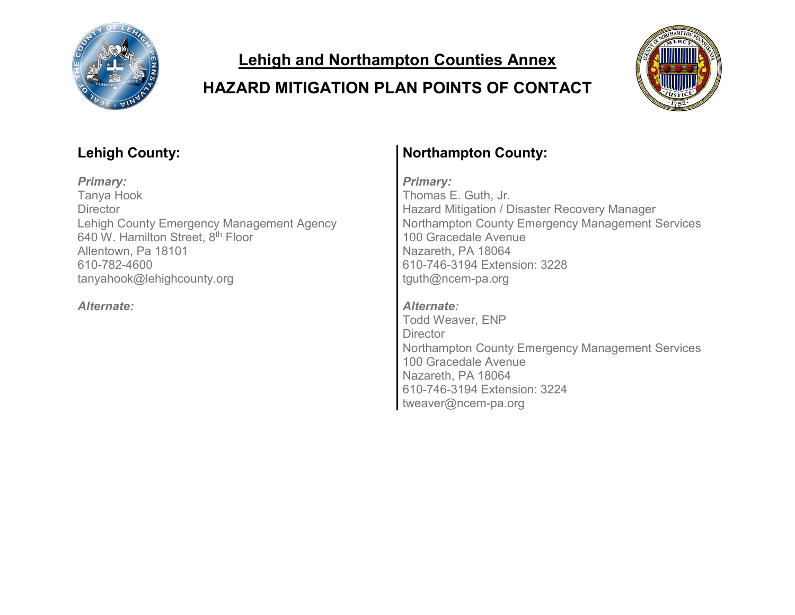

**Lehigh and Northampton Counties Annex**

#### **HAZARD MITIGATION PLAN POINTS OF CONTACT**



*Primary: Primary:* Tanya Hook **Director** Lehigh County Emergency Management Agency 640 W. Hamilton Street, 8<sup>th</sup> Floor Allentown, Pa 18101 610-782-4600 tanyahook@lehighcounty.org

# **Lehigh County: Northampton County:**

Thomas E. Guth, Jr. Hazard Mitigation / Disaster Recovery Manager Northampton County Emergency Management Services 100 Gracedale Avenue Nazareth, PA 18064 610-746-3194 Extension: 3228 tguth@ncem-pa.org

*Alternate: Alternate:* Todd Weaver, ENP **Director** Northampton County Emergency Management Services 100 Gracedale Avenue Nazareth, PA 18064 610-746-3194 Extension: 3224 tweaver@ncem-pa.org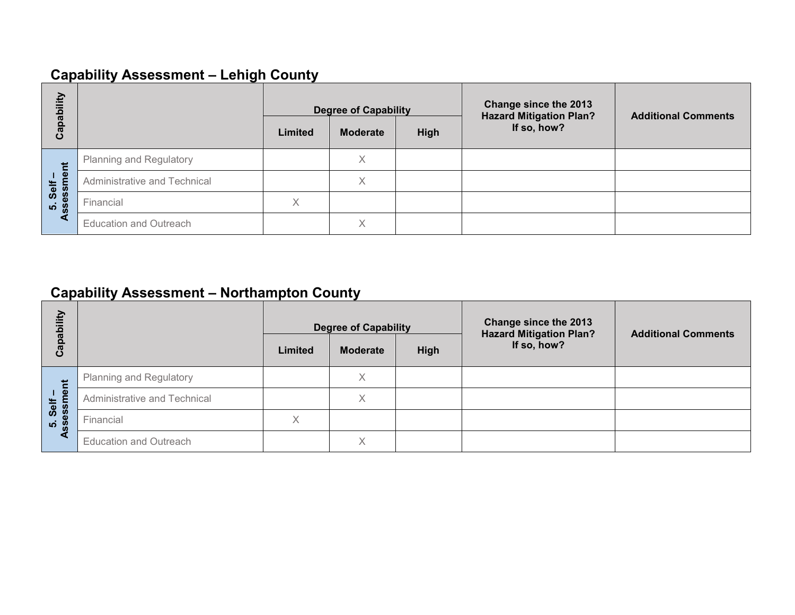#### **Capability Assessment – Lehigh County**

| Capability          |                                | Limited | <b>Degree of Capability</b><br><b>Moderate</b> | High | Change since the 2013<br><b>Hazard Mitigation Plan?</b><br>If so, how? | <b>Additional Comments</b> |
|---------------------|--------------------------------|---------|------------------------------------------------|------|------------------------------------------------------------------------|----------------------------|
| Ĕ                   | <b>Planning and Regulatory</b> |         | Χ                                              |      |                                                                        |                            |
| Self-               | Administrative and Technical   |         | Χ                                              |      |                                                                        |                            |
| 5. Selt<br><b>S</b> | Financial                      | X       |                                                |      |                                                                        |                            |
| ⋖                   | <b>Education and Outreach</b>  |         | Χ                                              |      |                                                                        |                            |

#### **Capability Assessment – Northampton County**

| bility           |                                |         | <b>Degree of Capability</b> |      | Change since the 2013<br><b>Hazard Mitigation Plan?</b> | <b>Additional Comments</b> |  |
|------------------|--------------------------------|---------|-----------------------------|------|---------------------------------------------------------|----------------------------|--|
| Capat            |                                | Limited | <b>Moderate</b>             | High | If so, how?                                             |                            |  |
|                  | <b>Planning and Regulatory</b> |         | $\checkmark$                |      |                                                         |                            |  |
| Self-<br>essment | Administrative and Technical   |         |                             |      |                                                         |                            |  |
| <u>ທີ່ 8</u>     | Financial                      | Χ       |                             |      |                                                         |                            |  |
|                  | <b>Education and Outreach</b>  |         |                             |      |                                                         |                            |  |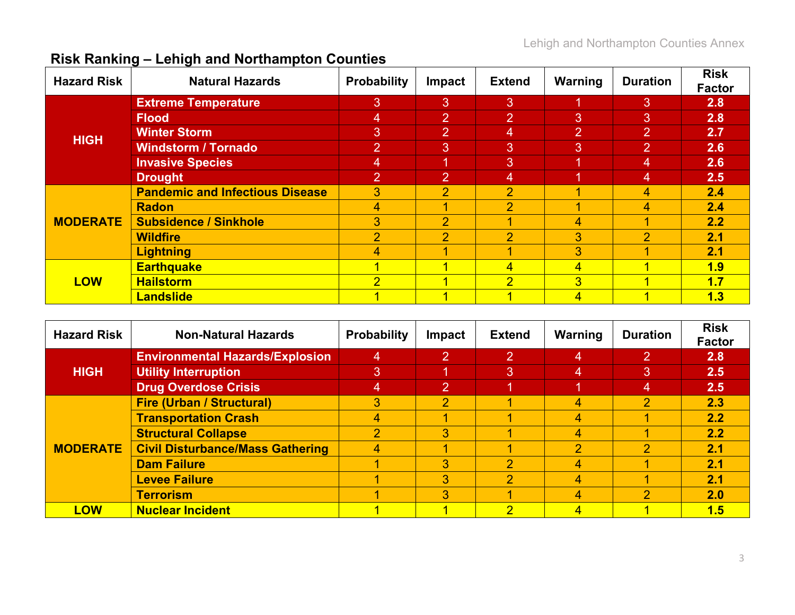| <b>Hazard Risk</b> | ້<br><b>Natural Hazards</b>            | <b>Probability</b> | Impact         | <b>Extend</b>  | Warning        | <b>Duration</b> | <b>Risk</b><br><b>Factor</b> |
|--------------------|----------------------------------------|--------------------|----------------|----------------|----------------|-----------------|------------------------------|
|                    | <b>Extreme Temperature</b>             | 3                  | 3              | 3              |                | 3               | 2.8                          |
|                    | <b>Flood</b>                           | 4                  | 2              | 2              | 3              | 3               | 2.8                          |
| <b>HIGH</b>        | <b>Winter Storm</b>                    | 3                  | 2              | 4              | 2              | 2               | 2.7                          |
|                    | <b>Windstorm / Tornado</b>             | $\overline{2}$     | 3              | 3              | <sup>31</sup>  | $\overline{2}$  | 2.6                          |
|                    | <b>Invasive Species</b>                | 4                  | 1              | 3              | 1              | 4               | 2.6                          |
|                    | <b>Drought</b>                         | 2                  | 2              | 4              | 1              | $\overline{4}$  | 2.5                          |
|                    | <b>Pandemic and Infectious Disease</b> | 3                  | $\overline{2}$ | $\overline{2}$ |                | 4               | 2.4                          |
|                    | <b>Radon</b>                           | 4                  | 4              | $\overline{2}$ |                | 4               | 2.4                          |
| <b>MODERATE</b>    | <b>Subsidence / Sinkhole</b>           | 3 <sup>1</sup>     | $\overline{2}$ |                | 4              | 4               | 2.2                          |
|                    | <b>Wildfire</b>                        | $\overline{2}$     | $\overline{2}$ | $\overline{2}$ | 3              | $\overline{2}$  | 2.1                          |
|                    | <b>Lightning</b>                       | 4                  |                |                | 3              |                 | 2.1                          |
|                    | <b>Earthquake</b>                      |                    |                | 4              | 4              |                 | 1.9                          |
| <b>LOW</b>         | <b>Hailstorm</b>                       | $\overline{2}$     | 4              | $\overline{2}$ | $\overline{3}$ | и               | 1.7                          |
|                    | <b>Landslide</b>                       |                    |                |                | 4              |                 | 1.3                          |

#### **Risk Ranking – Lehigh and Northampton Counties**

| <b>Hazard Risk</b> | <b>Non-Natural Hazards</b>              | <b>Probability</b> | <b>Impact</b>  | <b>Extend</b>            | Warning        | <b>Duration</b> | <b>Risk</b><br><b>Factor</b> |
|--------------------|-----------------------------------------|--------------------|----------------|--------------------------|----------------|-----------------|------------------------------|
|                    | <b>Environmental Hazards/Explosion</b>  | 4                  | 2              | $\mathbf{2}$             | 4              | 2               | 2.8                          |
| <b>HIGH</b>        | <b>Utility Interruption</b>             | 3                  | и              | 3                        | $\overline{4}$ | 3               | 2.5                          |
|                    | <b>Drug Overdose Crisis</b>             | 4                  | $\overline{2}$ |                          |                | 4               | 2.5                          |
|                    | <b>Fire (Urban / Structural)</b>        | 3                  | $\overline{2}$ |                          | 4              | $\overline{2}$  | 2.3                          |
|                    | <b>Transportation Crash</b>             | 4                  |                |                          | 4              |                 | 2.2                          |
|                    | <b>Structural Collapse</b>              | $\overline{2}$     | 3              |                          | 4              |                 | 2.2                          |
| <b>MODERATE</b>    | <b>Civil Disturbance/Mass Gathering</b> | 4                  |                |                          | $\overline{2}$ | 2               | 2.1                          |
|                    | <b>Dam Failure</b>                      |                    | 3              | 2                        | 4              |                 | 2.1                          |
|                    | <b>Levee Failure</b>                    |                    | 3              | $\overline{\mathcal{P}}$ | 4              |                 | 2.1                          |
|                    | <b>Terrorism</b>                        |                    | 3              |                          | 4              | 2               | 2.0                          |
| <b>LOW</b>         | <b>Nuclear Incident</b>                 |                    |                | ာ                        | 4              |                 | 1.5                          |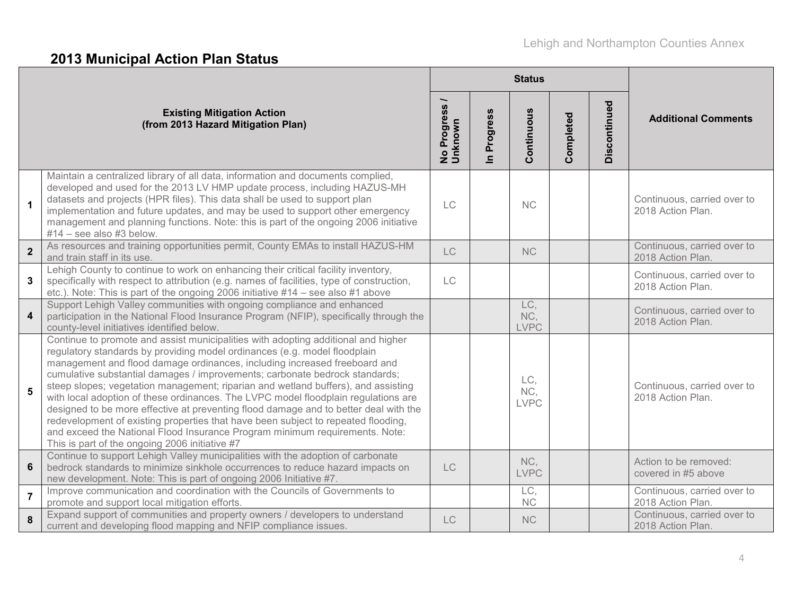# **2013 Municipal Action Plan Status**

|                |                                                                                                                                                                                                                                                                                                                                                                                                                                                                                                                                                                                                                                                                                                                                                                                                                     |                          |                          | <b>Status</b>             |           |              |                                                  |  |
|----------------|---------------------------------------------------------------------------------------------------------------------------------------------------------------------------------------------------------------------------------------------------------------------------------------------------------------------------------------------------------------------------------------------------------------------------------------------------------------------------------------------------------------------------------------------------------------------------------------------------------------------------------------------------------------------------------------------------------------------------------------------------------------------------------------------------------------------|--------------------------|--------------------------|---------------------------|-----------|--------------|--------------------------------------------------|--|
|                | <b>Existing Mitigation Action</b><br>(from 2013 Hazard Mitigation Plan)                                                                                                                                                                                                                                                                                                                                                                                                                                                                                                                                                                                                                                                                                                                                             | No Progress /<br>Unknown | Progress<br>$\mathbf{a}$ | Continuous                | Completed | Discontinued | <b>Additional Comments</b>                       |  |
| $\mathbf{1}$   | Maintain a centralized library of all data, information and documents complied,<br>developed and used for the 2013 LV HMP update process, including HAZUS-MH<br>datasets and projects (HPR files). This data shall be used to support plan<br>implementation and future updates, and may be used to support other emergency<br>management and planning functions. Note: this is part of the ongoing 2006 initiative<br>$#14$ – see also $#3$ below.                                                                                                                                                                                                                                                                                                                                                                 | <b>LC</b>                |                          | <b>NC</b>                 |           |              | Continuous, carried over to<br>2018 Action Plan. |  |
| $\overline{2}$ | As resources and training opportunities permit, County EMAs to install HAZUS-HM<br>and train staff in its use.                                                                                                                                                                                                                                                                                                                                                                                                                                                                                                                                                                                                                                                                                                      | <b>LC</b>                |                          | <b>NC</b>                 |           |              | Continuous, carried over to<br>2018 Action Plan. |  |
| 3              | Lehigh County to continue to work on enhancing their critical facility inventory,<br>specifically with respect to attribution (e.g. names of facilities, type of construction,<br>etc.). Note: This is part of the ongoing 2006 initiative #14 – see also #1 above                                                                                                                                                                                                                                                                                                                                                                                                                                                                                                                                                  | LC                       |                          |                           |           |              | Continuous, carried over to<br>2018 Action Plan. |  |
| 4              | Support Lehigh Valley communities with ongoing compliance and enhanced<br>participation in the National Flood Insurance Program (NFIP), specifically through the<br>county-level initiatives identified below.                                                                                                                                                                                                                                                                                                                                                                                                                                                                                                                                                                                                      |                          |                          | LC,<br>NC,<br><b>LVPC</b> |           |              | Continuous, carried over to<br>2018 Action Plan. |  |
| 5              | Continue to promote and assist municipalities with adopting additional and higher<br>regulatory standards by providing model ordinances (e.g. model floodplain<br>management and flood damage ordinances, including increased freeboard and<br>cumulative substantial damages / improvements; carbonate bedrock standards;<br>steep slopes; vegetation management; riparian and wetland buffers), and assisting<br>with local adoption of these ordinances. The LVPC model floodplain regulations are<br>designed to be more effective at preventing flood damage and to better deal with the<br>redevelopment of existing properties that have been subject to repeated flooding,<br>and exceed the National Flood Insurance Program minimum requirements. Note:<br>This is part of the ongoing 2006 initiative #7 |                          |                          | LC,<br>NC,<br><b>LVPC</b> |           |              | Continuous, carried over to<br>2018 Action Plan. |  |
| $6\phantom{a}$ | Continue to support Lehigh Valley municipalities with the adoption of carbonate<br>bedrock standards to minimize sinkhole occurrences to reduce hazard impacts on<br>new development. Note: This is part of ongoing 2006 Initiative #7.                                                                                                                                                                                                                                                                                                                                                                                                                                                                                                                                                                             | <b>LC</b>                |                          | NC,<br><b>LVPC</b>        |           |              | Action to be removed:<br>covered in #5 above     |  |
| $\overline{7}$ | Improve communication and coordination with the Councils of Governments to<br>promote and support local mitigation efforts.                                                                                                                                                                                                                                                                                                                                                                                                                                                                                                                                                                                                                                                                                         |                          |                          | LC,<br><b>NC</b>          |           |              | Continuous, carried over to<br>2018 Action Plan. |  |
| 8              | Expand support of communities and property owners / developers to understand<br>current and developing flood mapping and NFIP compliance issues.                                                                                                                                                                                                                                                                                                                                                                                                                                                                                                                                                                                                                                                                    | LC                       |                          | <b>NC</b>                 |           |              | Continuous, carried over to<br>2018 Action Plan. |  |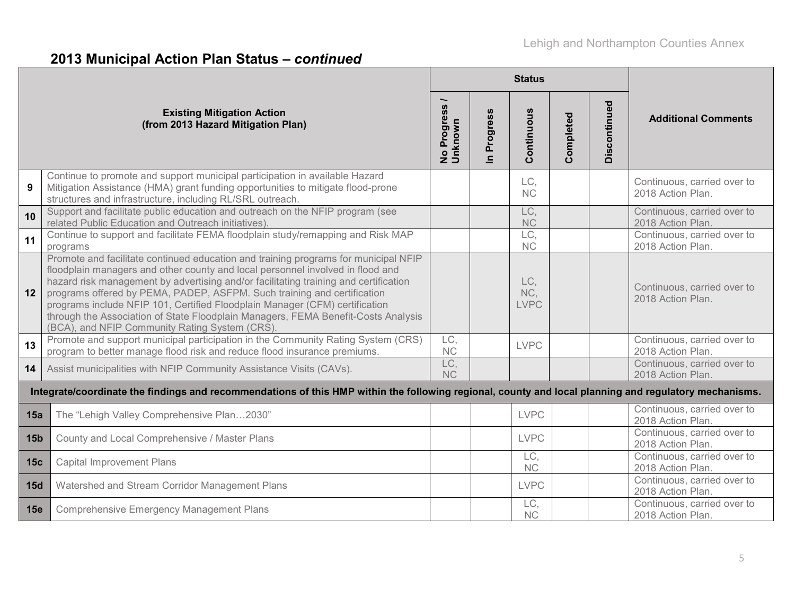|                 |                                                                                                                                                                                                                                                                                                                                                                                                                                                                                                                                                                |                          |                            | <b>Status</b>             |           |              |                                                  |
|-----------------|----------------------------------------------------------------------------------------------------------------------------------------------------------------------------------------------------------------------------------------------------------------------------------------------------------------------------------------------------------------------------------------------------------------------------------------------------------------------------------------------------------------------------------------------------------------|--------------------------|----------------------------|---------------------------|-----------|--------------|--------------------------------------------------|
|                 | <b>Existing Mitigation Action</b><br>(from 2013 Hazard Mitigation Plan)                                                                                                                                                                                                                                                                                                                                                                                                                                                                                        | No Progress /<br>Unknown | Progress<br>$\overline{=}$ | Continuous                | Completed | Discontinued | <b>Additional Comments</b>                       |
| 9               | Continue to promote and support municipal participation in available Hazard<br>Mitigation Assistance (HMA) grant funding opportunities to mitigate flood-prone<br>structures and infrastructure, including RL/SRL outreach.                                                                                                                                                                                                                                                                                                                                    |                          |                            | LC,<br>NC                 |           |              | Continuous, carried over to<br>2018 Action Plan. |
| 10              | Support and facilitate public education and outreach on the NFIP program (see<br>related Public Education and Outreach initiatives).                                                                                                                                                                                                                                                                                                                                                                                                                           |                          |                            | LC.<br><b>NC</b>          |           |              | Continuous, carried over to<br>2018 Action Plan. |
| 11              | Continue to support and facilitate FEMA floodplain study/remapping and Risk MAP<br>programs                                                                                                                                                                                                                                                                                                                                                                                                                                                                    |                          |                            | LC,<br><b>NC</b>          |           |              | Continuous, carried over to<br>2018 Action Plan. |
| 12              | Promote and facilitate continued education and training programs for municipal NFIP<br>floodplain managers and other county and local personnel involved in flood and<br>hazard risk management by advertising and/or facilitating training and certification<br>programs offered by PEMA, PADEP, ASFPM. Such training and certification<br>programs include NFIP 101, Certified Floodplain Manager (CFM) certification<br>through the Association of State Floodplain Managers, FEMA Benefit-Costs Analysis<br>(BCA), and NFIP Community Rating System (CRS). |                          |                            | LC,<br>NC,<br><b>LVPC</b> |           |              | Continuous, carried over to<br>2018 Action Plan. |
| 13              | Promote and support municipal participation in the Community Rating System (CRS)<br>program to better manage flood risk and reduce flood insurance premiums.                                                                                                                                                                                                                                                                                                                                                                                                   | LC,<br><b>NC</b>         |                            | <b>LVPC</b>               |           |              | Continuous, carried over to<br>2018 Action Plan. |
| 14              | Assist municipalities with NFIP Community Assistance Visits (CAVs).                                                                                                                                                                                                                                                                                                                                                                                                                                                                                            | LC,<br><b>NC</b>         |                            |                           |           |              | Continuous, carried over to<br>2018 Action Plan. |
|                 | Integrate/coordinate the findings and recommendations of this HMP within the following regional, county and local planning and regulatory mechanisms.                                                                                                                                                                                                                                                                                                                                                                                                          |                          |                            |                           |           |              |                                                  |
| 15a             | The "Lehigh Valley Comprehensive Plan2030"                                                                                                                                                                                                                                                                                                                                                                                                                                                                                                                     |                          |                            | <b>LVPC</b>               |           |              | Continuous, carried over to<br>2018 Action Plan. |
| 15 <sub>b</sub> | County and Local Comprehensive / Master Plans                                                                                                                                                                                                                                                                                                                                                                                                                                                                                                                  |                          |                            | <b>LVPC</b>               |           |              | Continuous, carried over to<br>2018 Action Plan. |
| 15c             | <b>Capital Improvement Plans</b>                                                                                                                                                                                                                                                                                                                                                                                                                                                                                                                               |                          |                            | LC,<br>NC                 |           |              | Continuous, carried over to<br>2018 Action Plan. |
| 15d             | Watershed and Stream Corridor Management Plans                                                                                                                                                                                                                                                                                                                                                                                                                                                                                                                 |                          |                            | <b>LVPC</b>               |           |              | Continuous, carried over to<br>2018 Action Plan. |
| 15e             | <b>Comprehensive Emergency Management Plans</b>                                                                                                                                                                                                                                                                                                                                                                                                                                                                                                                |                          |                            | LC,<br>NC                 |           |              | Continuous, carried over to<br>2018 Action Plan. |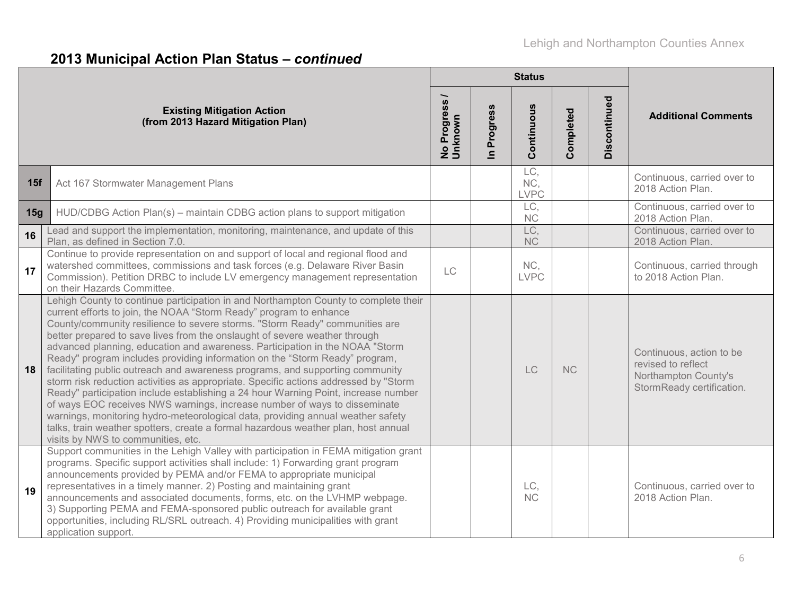|     |                                                                                                                                                                                                                                                                                                                                                                                                                                                                                                                                                                                                                                                                                                                                                                                                                                                                                                                                                                                                                                                  |                          |                                | <b>Status</b>             |           |              |                                                                                                     |
|-----|--------------------------------------------------------------------------------------------------------------------------------------------------------------------------------------------------------------------------------------------------------------------------------------------------------------------------------------------------------------------------------------------------------------------------------------------------------------------------------------------------------------------------------------------------------------------------------------------------------------------------------------------------------------------------------------------------------------------------------------------------------------------------------------------------------------------------------------------------------------------------------------------------------------------------------------------------------------------------------------------------------------------------------------------------|--------------------------|--------------------------------|---------------------------|-----------|--------------|-----------------------------------------------------------------------------------------------------|
|     | <b>Existing Mitigation Action</b><br>(from 2013 Hazard Mitigation Plan)                                                                                                                                                                                                                                                                                                                                                                                                                                                                                                                                                                                                                                                                                                                                                                                                                                                                                                                                                                          | No Progress /<br>Unknown | Progress<br>$\boldsymbol{\Xi}$ | Continuous                | Completed | Discontinued | <b>Additional Comments</b>                                                                          |
| 15f | Act 167 Stormwater Management Plans                                                                                                                                                                                                                                                                                                                                                                                                                                                                                                                                                                                                                                                                                                                                                                                                                                                                                                                                                                                                              |                          |                                | LC,<br>NC,<br><b>LVPC</b> |           |              | Continuous, carried over to<br>2018 Action Plan.                                                    |
| 15g | HUD/CDBG Action Plan(s) – maintain CDBG action plans to support mitigation                                                                                                                                                                                                                                                                                                                                                                                                                                                                                                                                                                                                                                                                                                                                                                                                                                                                                                                                                                       |                          |                                | LC,<br>NC                 |           |              | Continuous, carried over to<br>2018 Action Plan.                                                    |
| 16  | Lead and support the implementation, monitoring, maintenance, and update of this<br>Plan, as defined in Section 7.0.                                                                                                                                                                                                                                                                                                                                                                                                                                                                                                                                                                                                                                                                                                                                                                                                                                                                                                                             |                          |                                | LC,<br><b>NC</b>          |           |              | Continuous, carried over to<br>2018 Action Plan.                                                    |
| 17  | Continue to provide representation on and support of local and regional flood and<br>watershed committees, commissions and task forces (e.g. Delaware River Basin<br>Commission). Petition DRBC to include LV emergency management representation<br>on their Hazards Committee.                                                                                                                                                                                                                                                                                                                                                                                                                                                                                                                                                                                                                                                                                                                                                                 | LC                       |                                | NC,<br><b>LVPC</b>        |           |              | Continuous, carried through<br>to 2018 Action Plan.                                                 |
| 18  | Lehigh County to continue participation in and Northampton County to complete their<br>current efforts to join, the NOAA "Storm Ready" program to enhance<br>County/community resilience to severe storms. "Storm Ready" communities are<br>better prepared to save lives from the onslaught of severe weather through<br>advanced planning, education and awareness. Participation in the NOAA "Storm<br>Ready" program includes providing information on the "Storm Ready" program,<br>facilitating public outreach and awareness programs, and supporting community<br>storm risk reduction activities as appropriate. Specific actions addressed by "Storm<br>Ready" participation include establishing a 24 hour Warning Point, increase number<br>of ways EOC receives NWS warnings, increase number of ways to disseminate<br>warnings, monitoring hydro-meteorological data, providing annual weather safety<br>talks, train weather spotters, create a formal hazardous weather plan, host annual<br>visits by NWS to communities, etc. |                          |                                | LC                        | <b>NC</b> |              | Continuous, action to be<br>revised to reflect<br>Northampton County's<br>StormReady certification. |
| 19  | Support communities in the Lehigh Valley with participation in FEMA mitigation grant<br>programs. Specific support activities shall include: 1) Forwarding grant program<br>announcements provided by PEMA and/or FEMA to appropriate municipal<br>representatives in a timely manner. 2) Posting and maintaining grant<br>announcements and associated documents, forms, etc. on the LVHMP webpage.<br>3) Supporting PEMA and FEMA-sponsored public outreach for available grant<br>opportunities, including RL/SRL outreach. 4) Providing municipalities with grant<br>application support.                                                                                                                                                                                                                                                                                                                                                                                                                                                    |                          |                                | LC.<br>NC                 |           |              | Continuous, carried over to<br>2018 Action Plan.                                                    |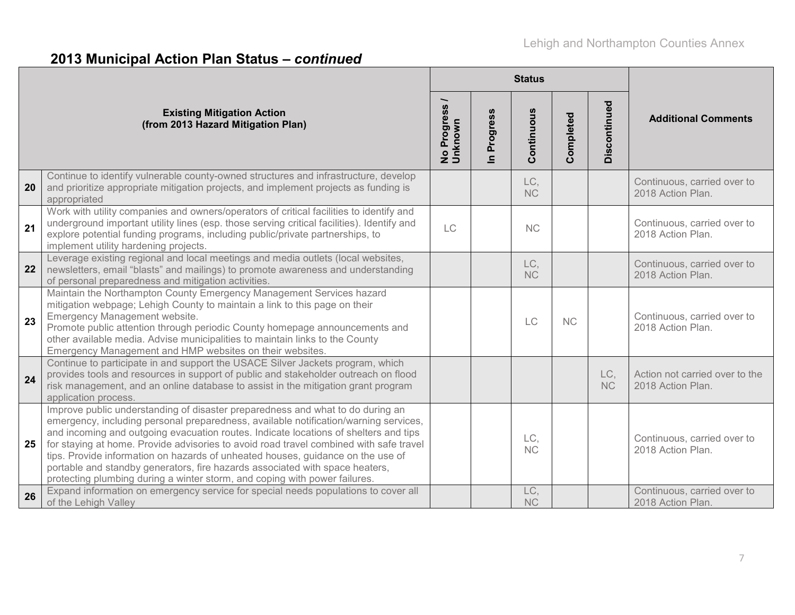|    |                                                                                                                                                                                                                                                                                                                                                                                                                                                                                                                                                                                                           |                          |                          | <b>Status</b>    |           |                  |                                                     |
|----|-----------------------------------------------------------------------------------------------------------------------------------------------------------------------------------------------------------------------------------------------------------------------------------------------------------------------------------------------------------------------------------------------------------------------------------------------------------------------------------------------------------------------------------------------------------------------------------------------------------|--------------------------|--------------------------|------------------|-----------|------------------|-----------------------------------------------------|
|    | <b>Existing Mitigation Action</b><br>(from 2013 Hazard Mitigation Plan)                                                                                                                                                                                                                                                                                                                                                                                                                                                                                                                                   | No Progress /<br>Unknown | Progress<br>$\mathbf{C}$ | Continuous       | Completed | Discontinued     | <b>Additional Comments</b>                          |
| 20 | Continue to identify vulnerable county-owned structures and infrastructure, develop<br>and prioritize appropriate mitigation projects, and implement projects as funding is<br>appropriated                                                                                                                                                                                                                                                                                                                                                                                                               |                          |                          | LC,<br><b>NC</b> |           |                  | Continuous, carried over to<br>2018 Action Plan.    |
| 21 | Work with utility companies and owners/operators of critical facilities to identify and<br>underground important utility lines (esp. those serving critical facilities). Identify and<br>explore potential funding programs, including public/private partnerships, to<br>implement utility hardening projects.                                                                                                                                                                                                                                                                                           | LC                       |                          | <b>NC</b>        |           |                  | Continuous, carried over to<br>2018 Action Plan.    |
| 22 | Leverage existing regional and local meetings and media outlets (local websites,<br>newsletters, email "blasts" and mailings) to promote awareness and understanding<br>of personal preparedness and mitigation activities.                                                                                                                                                                                                                                                                                                                                                                               |                          |                          | LC,<br><b>NC</b> |           |                  | Continuous, carried over to<br>2018 Action Plan.    |
| 23 | Maintain the Northampton County Emergency Management Services hazard<br>mitigation webpage; Lehigh County to maintain a link to this page on their<br>Emergency Management website.<br>Promote public attention through periodic County homepage announcements and<br>other available media. Advise municipalities to maintain links to the County<br>Emergency Management and HMP websites on their websites.                                                                                                                                                                                            |                          |                          | LC               | NC        |                  | Continuous, carried over to<br>2018 Action Plan.    |
| 24 | Continue to participate in and support the USACE Silver Jackets program, which<br>provides tools and resources in support of public and stakeholder outreach on flood<br>risk management, and an online database to assist in the mitigation grant program<br>application process.                                                                                                                                                                                                                                                                                                                        |                          |                          |                  |           | LC,<br><b>NC</b> | Action not carried over to the<br>2018 Action Plan. |
| 25 | Improve public understanding of disaster preparedness and what to do during an<br>emergency, including personal preparedness, available notification/warning services,<br>and incoming and outgoing evacuation routes. Indicate locations of shelters and tips<br>for staying at home. Provide advisories to avoid road travel combined with safe travel<br>tips. Provide information on hazards of unheated houses, guidance on the use of<br>portable and standby generators, fire hazards associated with space heaters,<br>protecting plumbing during a winter storm, and coping with power failures. |                          |                          | LC.<br>NC        |           |                  | Continuous, carried over to<br>2018 Action Plan.    |
| 26 | Expand information on emergency service for special needs populations to cover all<br>of the Lehigh Valley                                                                                                                                                                                                                                                                                                                                                                                                                                                                                                |                          |                          | LC,<br>NC        |           |                  | Continuous, carried over to<br>2018 Action Plan.    |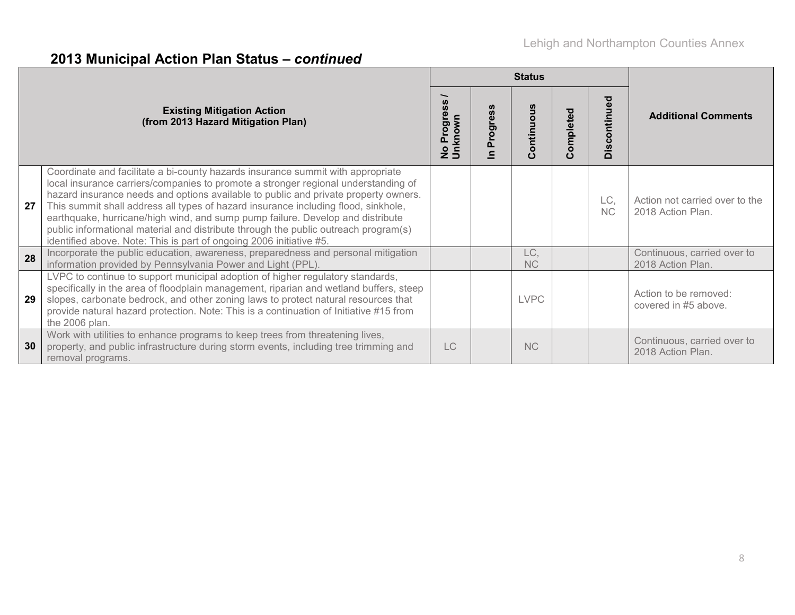|    |                                                                                                                                                                                                                                                                                                                                                                                                                                                                                                                                                                                                    |                                                |           | <b>Status</b>                   |           |              |                                                     |
|----|----------------------------------------------------------------------------------------------------------------------------------------------------------------------------------------------------------------------------------------------------------------------------------------------------------------------------------------------------------------------------------------------------------------------------------------------------------------------------------------------------------------------------------------------------------------------------------------------------|------------------------------------------------|-----------|---------------------------------|-----------|--------------|-----------------------------------------------------|
|    | <b>Existing Mitigation Action</b><br>(from 2013 Hazard Mitigation Plan)                                                                                                                                                                                                                                                                                                                                                                                                                                                                                                                            | $\tilde{a}$<br>Progres<br>No Progre<br>Unknown | 89<br>pol | ntinuo<br>$\circ$<br>$\epsilon$ | Completed | Discontinued | <b>Additional Comments</b>                          |
| 27 | Coordinate and facilitate a bi-county hazards insurance summit with appropriate<br>local insurance carriers/companies to promote a stronger regional understanding of<br>hazard insurance needs and options available to public and private property owners.<br>This summit shall address all types of hazard insurance including flood, sinkhole,<br>earthquake, hurricane/high wind, and sump pump failure. Develop and distribute<br>public informational material and distribute through the public outreach program(s)<br>identified above. Note: This is part of ongoing 2006 initiative #5. |                                                |           |                                 |           | LC,<br>NC    | Action not carried over to the<br>2018 Action Plan. |
| 28 | Incorporate the public education, awareness, preparedness and personal mitigation<br>information provided by Pennsylvania Power and Light (PPL).                                                                                                                                                                                                                                                                                                                                                                                                                                                   |                                                |           | LC,<br><b>NC</b>                |           |              | Continuous, carried over to<br>2018 Action Plan.    |
| 29 | LVPC to continue to support municipal adoption of higher regulatory standards,<br>specifically in the area of floodplain management, riparian and wetland buffers, steep<br>slopes, carbonate bedrock, and other zoning laws to protect natural resources that<br>provide natural hazard protection. Note: This is a continuation of Initiative #15 from<br>the 2006 plan.                                                                                                                                                                                                                         |                                                |           | <b>LVPC</b>                     |           |              | Action to be removed:<br>covered in #5 above.       |
| 30 | Work with utilities to enhance programs to keep trees from threatening lives,<br>property, and public infrastructure during storm events, including tree trimming and<br>removal programs.                                                                                                                                                                                                                                                                                                                                                                                                         | LC                                             |           | <b>NC</b>                       |           |              | Continuous, carried over to<br>2018 Action Plan.    |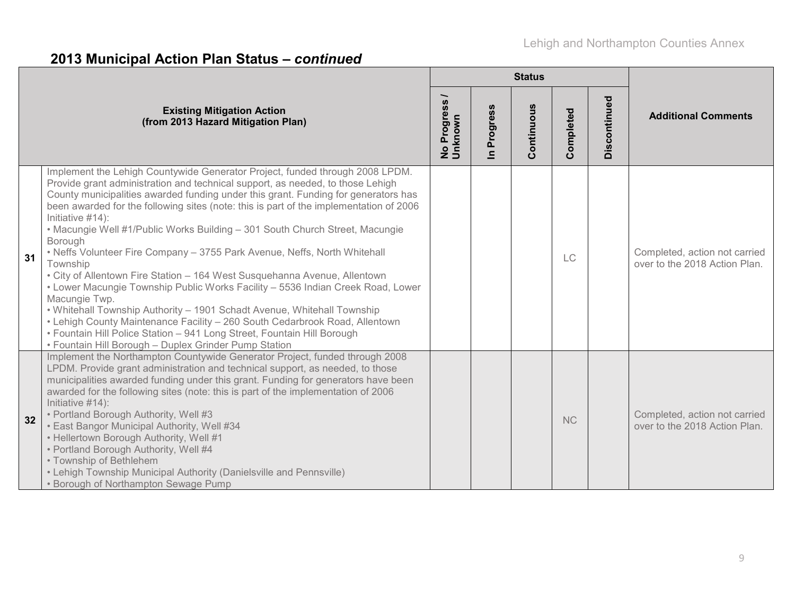|    |                                                                                                                                                                                                                                                                                                                                                                                                                                                                                                                                                                                                                                                                                                                                                                                                                                                                                                                                                                                                                                       |                          |                            | <b>Status</b> |           |              |                                                                |
|----|---------------------------------------------------------------------------------------------------------------------------------------------------------------------------------------------------------------------------------------------------------------------------------------------------------------------------------------------------------------------------------------------------------------------------------------------------------------------------------------------------------------------------------------------------------------------------------------------------------------------------------------------------------------------------------------------------------------------------------------------------------------------------------------------------------------------------------------------------------------------------------------------------------------------------------------------------------------------------------------------------------------------------------------|--------------------------|----------------------------|---------------|-----------|--------------|----------------------------------------------------------------|
|    | <b>Existing Mitigation Action</b><br>(from 2013 Hazard Mitigation Plan)                                                                                                                                                                                                                                                                                                                                                                                                                                                                                                                                                                                                                                                                                                                                                                                                                                                                                                                                                               | No Progress /<br>Unknown | Progress<br>$\blacksquare$ | Continuous    | Completed | Discontinued | <b>Additional Comments</b>                                     |
| 31 | Implement the Lehigh Countywide Generator Project, funded through 2008 LPDM.<br>Provide grant administration and technical support, as needed, to those Lehigh<br>County municipalities awarded funding under this grant. Funding for generators has<br>been awarded for the following sites (note: this is part of the implementation of 2006<br>Initiative #14):<br>• Macungie Well #1/Public Works Building - 301 South Church Street, Macungie<br>Borough<br>• Neffs Volunteer Fire Company - 3755 Park Avenue, Neffs, North Whitehall<br>Township<br>• City of Allentown Fire Station - 164 West Susquehanna Avenue, Allentown<br>• Lower Macungie Township Public Works Facility - 5536 Indian Creek Road, Lower<br>Macungie Twp.<br>. Whitehall Township Authority - 1901 Schadt Avenue, Whitehall Township<br>• Lehigh County Maintenance Facility - 260 South Cedarbrook Road, Allentown<br>• Fountain Hill Police Station - 941 Long Street, Fountain Hill Borough<br>• Fountain Hill Borough - Duplex Grinder Pump Station |                          |                            |               | LC        |              | Completed, action not carried<br>over to the 2018 Action Plan. |
| 32 | Implement the Northampton Countywide Generator Project, funded through 2008<br>LPDM. Provide grant administration and technical support, as needed, to those<br>municipalities awarded funding under this grant. Funding for generators have been<br>awarded for the following sites (note: this is part of the implementation of 2006<br>Initiative #14):<br>• Portland Borough Authority, Well #3<br>• East Bangor Municipal Authority, Well #34<br>• Hellertown Borough Authority, Well #1<br>• Portland Borough Authority, Well #4<br>• Township of Bethlehem<br>• Lehigh Township Municipal Authority (Danielsville and Pennsville)<br>• Borough of Northampton Sewage Pump                                                                                                                                                                                                                                                                                                                                                      |                          |                            |               | <b>NC</b> |              | Completed, action not carried<br>over to the 2018 Action Plan. |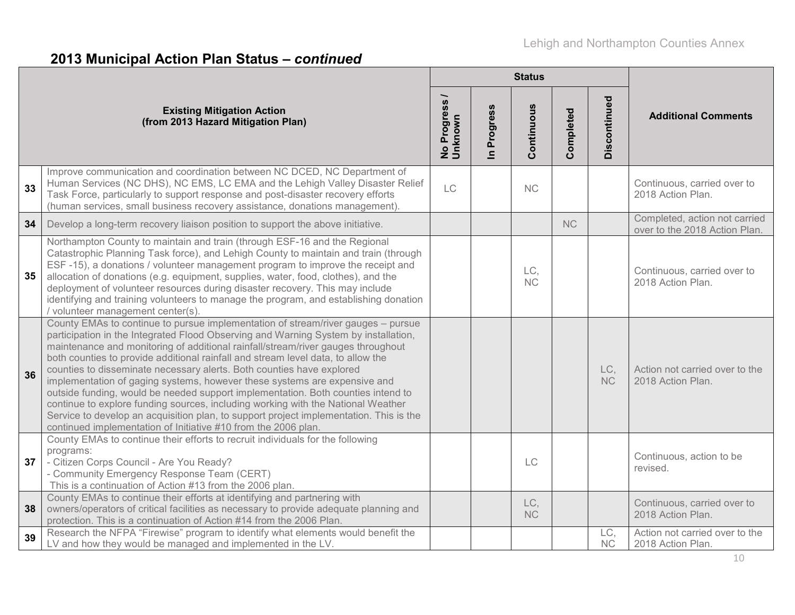|                                                                                                                                                                                                                                                                                                                                                                                                                                                                                                                                                                                                                                                                                                                                                                                                                                                 |                          |                          | <b>Status</b>    |           |                  |                                                                |
|-------------------------------------------------------------------------------------------------------------------------------------------------------------------------------------------------------------------------------------------------------------------------------------------------------------------------------------------------------------------------------------------------------------------------------------------------------------------------------------------------------------------------------------------------------------------------------------------------------------------------------------------------------------------------------------------------------------------------------------------------------------------------------------------------------------------------------------------------|--------------------------|--------------------------|------------------|-----------|------------------|----------------------------------------------------------------|
| <b>Existing Mitigation Action</b><br>(from 2013 Hazard Mitigation Plan)                                                                                                                                                                                                                                                                                                                                                                                                                                                                                                                                                                                                                                                                                                                                                                         | No Progress /<br>Unknown | Progress<br>$\mathbf{a}$ | Continuous       | Completed | Discontinued     | <b>Additional Comments</b>                                     |
| Improve communication and coordination between NC DCED, NC Department of<br>Human Services (NC DHS), NC EMS, LC EMA and the Lehigh Valley Disaster Relief<br>33<br>Task Force, particularly to support response and post-disaster recovery efforts<br>(human services, small business recovery assistance, donations management).                                                                                                                                                                                                                                                                                                                                                                                                                                                                                                               | LC                       |                          | NC               |           |                  | Continuous, carried over to<br>2018 Action Plan.               |
| 34<br>Develop a long-term recovery liaison position to support the above initiative.                                                                                                                                                                                                                                                                                                                                                                                                                                                                                                                                                                                                                                                                                                                                                            |                          |                          |                  | <b>NC</b> |                  | Completed, action not carried<br>over to the 2018 Action Plan. |
| Northampton County to maintain and train (through ESF-16 and the Regional<br>Catastrophic Planning Task force), and Lehigh County to maintain and train (through<br>ESF-15), a donations / volunteer management program to improve the receipt and<br>35<br>allocation of donations (e.g. equipment, supplies, water, food, clothes), and the<br>deployment of volunteer resources during disaster recovery. This may include<br>identifying and training volunteers to manage the program, and establishing donation<br>/ volunteer management center(s).                                                                                                                                                                                                                                                                                      |                          |                          | LC,<br>NC        |           |                  | Continuous, carried over to<br>2018 Action Plan.               |
| County EMAs to continue to pursue implementation of stream/river gauges - pursue<br>participation in the Integrated Flood Observing and Warning System by installation,<br>maintenance and monitoring of additional rainfall/stream/river gauges throughout<br>both counties to provide additional rainfall and stream level data, to allow the<br>counties to disseminate necessary alerts. Both counties have explored<br>36<br>implementation of gaging systems, however these systems are expensive and<br>outside funding, would be needed support implementation. Both counties intend to<br>continue to explore funding sources, including working with the National Weather<br>Service to develop an acquisition plan, to support project implementation. This is the<br>continued implementation of Initiative #10 from the 2006 plan. |                          |                          |                  |           | LC,<br><b>NC</b> | Action not carried over to the<br>2018 Action Plan.            |
| County EMAs to continue their efforts to recruit individuals for the following<br>programs:<br>37<br>- Citizen Corps Council - Are You Ready?<br>- Community Emergency Response Team (CERT)<br>This is a continuation of Action #13 from the 2006 plan.                                                                                                                                                                                                                                                                                                                                                                                                                                                                                                                                                                                         |                          |                          | LC               |           |                  | Continuous, action to be<br>revised.                           |
| County EMAs to continue their efforts at identifying and partnering with<br>owners/operators of critical facilities as necessary to provide adequate planning and<br>38<br>protection. This is a continuation of Action #14 from the 2006 Plan.                                                                                                                                                                                                                                                                                                                                                                                                                                                                                                                                                                                                 |                          |                          | LC,<br><b>NC</b> |           |                  | Continuous, carried over to<br>2018 Action Plan.               |
| Research the NFPA "Firewise" program to identify what elements would benefit the<br>39<br>LV and how they would be managed and implemented in the LV.                                                                                                                                                                                                                                                                                                                                                                                                                                                                                                                                                                                                                                                                                           |                          |                          |                  |           | LC,<br>NC        | Action not carried over to the<br>2018 Action Plan.            |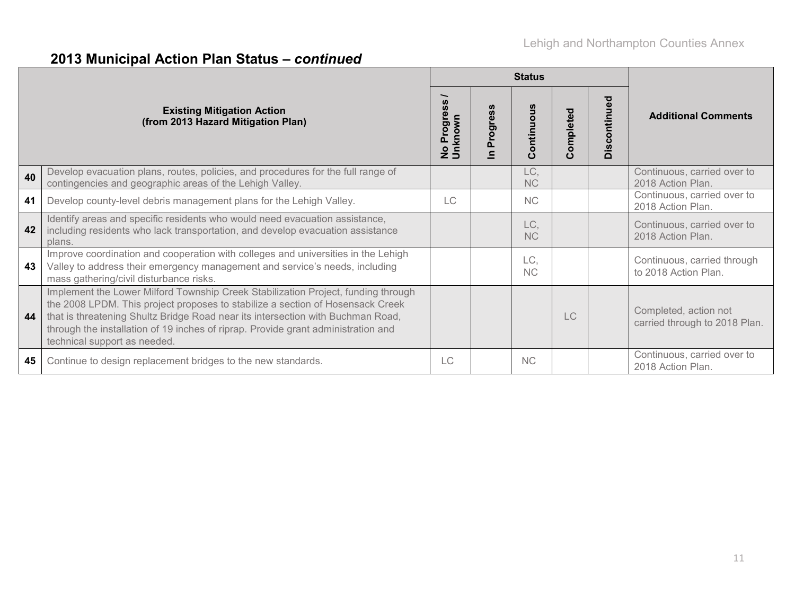|    |                                                                                                                                                                                                                                                                                                                                                                             |                       |               | <b>Status</b>         |           |              |                                                        |
|----|-----------------------------------------------------------------------------------------------------------------------------------------------------------------------------------------------------------------------------------------------------------------------------------------------------------------------------------------------------------------------------|-----------------------|---------------|-----------------------|-----------|--------------|--------------------------------------------------------|
|    | <b>Existing Mitigation Action</b><br>(from 2013 Hazard Mitigation Plan)                                                                                                                                                                                                                                                                                                     | No Progres<br>Unknown | ທ<br>ë<br>pol | Continuous            | Completed | Discontinued | <b>Additional Comments</b>                             |
| 40 | Develop evacuation plans, routes, policies, and procedures for the full range of<br>contingencies and geographic areas of the Lehigh Valley.                                                                                                                                                                                                                                |                       |               | LC,<br><b>NC</b>      |           |              | Continuous, carried over to<br>2018 Action Plan.       |
| 41 | Develop county-level debris management plans for the Lehigh Valley.                                                                                                                                                                                                                                                                                                         | LC                    |               | <b>NC</b>             |           |              | Continuous, carried over to<br>2018 Action Plan.       |
| 42 | Identify areas and specific residents who would need evacuation assistance,<br>including residents who lack transportation, and develop evacuation assistance<br>plans.                                                                                                                                                                                                     |                       |               | LC.<br><b>NC</b>      |           |              | Continuous, carried over to<br>2018 Action Plan.       |
| 43 | Improve coordination and cooperation with colleges and universities in the Lehigh<br>Valley to address their emergency management and service's needs, including<br>mass gathering/civil disturbance risks.                                                                                                                                                                 |                       |               | LC,<br>N <sub>C</sub> |           |              | Continuous, carried through<br>to 2018 Action Plan.    |
| 44 | Implement the Lower Milford Township Creek Stabilization Project, funding through<br>the 2008 LPDM. This project proposes to stabilize a section of Hosensack Creek<br>that is threatening Shultz Bridge Road near its intersection with Buchman Road,<br>through the installation of 19 inches of riprap. Provide grant administration and<br>technical support as needed. |                       |               |                       | LC.       |              | Completed, action not<br>carried through to 2018 Plan. |
| 45 | Continue to design replacement bridges to the new standards.                                                                                                                                                                                                                                                                                                                | LC                    |               | <b>NC</b>             |           |              | Continuous, carried over to<br>2018 Action Plan.       |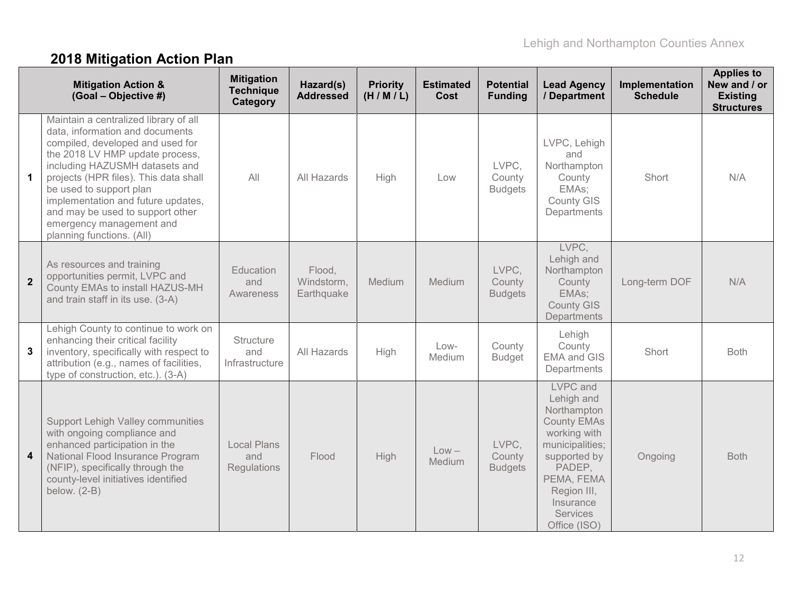# **2018 Mitigation Action Plan**

|              | <b>Mitigation Action &amp;</b><br>(Goal - Objective #)                                                                                                                                                                                                                                                                                                                                   | <b>Mitigation</b><br><b>Technique</b><br>Category | Hazard(s)<br><b>Addressed</b>      | <b>Priority</b><br>(H/M/L) | <b>Estimated</b><br>Cost | <b>Potential</b><br><b>Funding</b> | <b>Lead Agency</b><br>/ Department                                                                                                                                                                    | Implementation<br><b>Schedule</b> | <b>Applies to</b><br>New and / or<br><b>Existing</b><br><b>Structures</b> |
|--------------|------------------------------------------------------------------------------------------------------------------------------------------------------------------------------------------------------------------------------------------------------------------------------------------------------------------------------------------------------------------------------------------|---------------------------------------------------|------------------------------------|----------------------------|--------------------------|------------------------------------|-------------------------------------------------------------------------------------------------------------------------------------------------------------------------------------------------------|-----------------------------------|---------------------------------------------------------------------------|
| $\mathbf 1$  | Maintain a centralized library of all<br>data, information and documents<br>compiled, developed and used for<br>the 2018 LV HMP update process,<br>including HAZUSMH datasets and<br>projects (HPR files). This data shall<br>be used to support plan<br>implementation and future updates,<br>and may be used to support other<br>emergency management and<br>planning functions. (All) | All                                               | All Hazards                        | High                       | Low                      | LVPC.<br>County<br><b>Budgets</b>  | LVPC, Lehigh<br>and<br>Northampton<br>County<br>EMAs;<br>County GIS<br>Departments                                                                                                                    | Short                             | N/A                                                                       |
| $\mathbf{2}$ | As resources and training<br>opportunities permit, LVPC and<br>County EMAs to install HAZUS-MH<br>and train staff in its use. (3-A)                                                                                                                                                                                                                                                      | Education<br>and<br>Awareness                     | Flood,<br>Windstorm,<br>Earthquake | Medium                     | Medium                   | LVPC,<br>County<br><b>Budgets</b>  | LVPC,<br>Lehigh and<br>Northampton<br>County<br>EMAs;<br><b>County GIS</b><br>Departments                                                                                                             | Long-term DOF                     | N/A                                                                       |
| 3            | Lehigh County to continue to work on<br>enhancing their critical facility<br>inventory, specifically with respect to<br>attribution (e.g., names of facilities,<br>type of construction, etc.). (3-A)                                                                                                                                                                                    | Structure<br>and<br>Infrastructure                | All Hazards                        | High                       | $Low-$<br>Medium         | County<br><b>Budget</b>            | Lehigh<br>County<br><b>EMA and GIS</b><br>Departments                                                                                                                                                 | Short                             | <b>Both</b>                                                               |
| 4            | <b>Support Lehigh Valley communities</b><br>with ongoing compliance and<br>enhanced participation in the<br>National Flood Insurance Program<br>(NFIP), specifically through the<br>county-level initiatives identified<br>below. $(2-B)$                                                                                                                                                | <b>Local Plans</b><br>and<br>Regulations          | Flood                              | High                       | $Low -$<br>Medium        | LVPC,<br>County<br><b>Budgets</b>  | LVPC and<br>Lehigh and<br>Northampton<br><b>County EMAs</b><br>working with<br>municipalities;<br>supported by<br>PADEP,<br>PEMA, FEMA<br>Region III,<br>Insurance<br><b>Services</b><br>Office (ISO) | Ongoing                           | <b>Both</b>                                                               |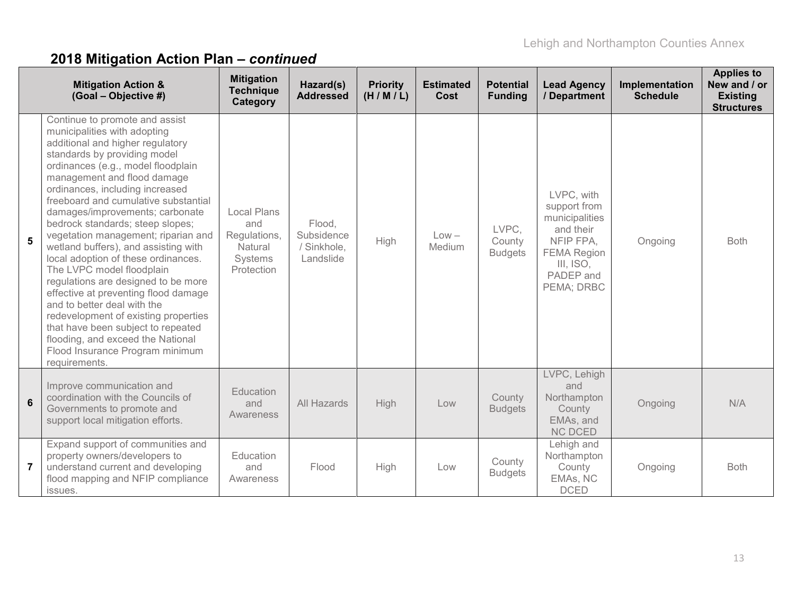|                | <b>Mitigation Action &amp;</b><br>(Goal - Objective #)                                                                                                                                                                                                                                                                                                                                                                                                                                                                                                                                                                                                                                                                                                                                            | <b>Mitigation</b><br><b>Technique</b><br>Category                             | Hazard(s)<br><b>Addressed</b>                    | <b>Priority</b><br>(H/M/L) | <b>Estimated</b><br>Cost | <b>Potential</b><br><b>Funding</b> | <b>Lead Agency</b><br>/ Department                                                                                                   | Implementation<br><b>Schedule</b> | <b>Applies to</b><br>New and / or<br><b>Existing</b><br><b>Structures</b> |
|----------------|---------------------------------------------------------------------------------------------------------------------------------------------------------------------------------------------------------------------------------------------------------------------------------------------------------------------------------------------------------------------------------------------------------------------------------------------------------------------------------------------------------------------------------------------------------------------------------------------------------------------------------------------------------------------------------------------------------------------------------------------------------------------------------------------------|-------------------------------------------------------------------------------|--------------------------------------------------|----------------------------|--------------------------|------------------------------------|--------------------------------------------------------------------------------------------------------------------------------------|-----------------------------------|---------------------------------------------------------------------------|
| 5              | Continue to promote and assist<br>municipalities with adopting<br>additional and higher regulatory<br>standards by providing model<br>ordinances (e.g., model floodplain<br>management and flood damage<br>ordinances, including increased<br>freeboard and cumulative substantial<br>damages/improvements; carbonate<br>bedrock standards; steep slopes;<br>vegetation management; riparian and<br>wetland buffers), and assisting with<br>local adoption of these ordinances.<br>The LVPC model floodplain<br>regulations are designed to be more<br>effective at preventing flood damage<br>and to better deal with the<br>redevelopment of existing properties<br>that have been subject to repeated<br>flooding, and exceed the National<br>Flood Insurance Program minimum<br>requirements. | <b>Local Plans</b><br>and<br>Regulations,<br>Natural<br>Systems<br>Protection | Flood,<br>Subsidence<br>/ Sinkhole,<br>Landslide | High                       | $Low -$<br>Medium        | LVPC.<br>County<br><b>Budgets</b>  | LVPC, with<br>support from<br>municipalities<br>and their<br>NFIP FPA,<br><b>FEMA Region</b><br>III, ISO,<br>PADEP and<br>PEMA; DRBC | Ongoing                           | <b>Both</b>                                                               |
| $6\phantom{1}$ | Improve communication and<br>coordination with the Councils of<br>Governments to promote and<br>support local mitigation efforts.                                                                                                                                                                                                                                                                                                                                                                                                                                                                                                                                                                                                                                                                 | Education<br>and<br>Awareness                                                 | All Hazards                                      | High                       | Low                      | County<br><b>Budgets</b>           | LVPC, Lehigh<br>and<br>Northampton<br>County<br>EMAs, and<br><b>NC DCED</b>                                                          | Ongoing                           | N/A                                                                       |
| $\overline{7}$ | Expand support of communities and<br>property owners/developers to<br>understand current and developing<br>flood mapping and NFIP compliance<br>issues.                                                                                                                                                                                                                                                                                                                                                                                                                                                                                                                                                                                                                                           | Education<br>and<br>Awareness                                                 | Flood                                            | High                       | Low                      | County<br><b>Budgets</b>           | Lehigh and<br>Northampton<br>County<br>EMAs, NC<br><b>DCED</b>                                                                       | Ongoing                           | <b>Both</b>                                                               |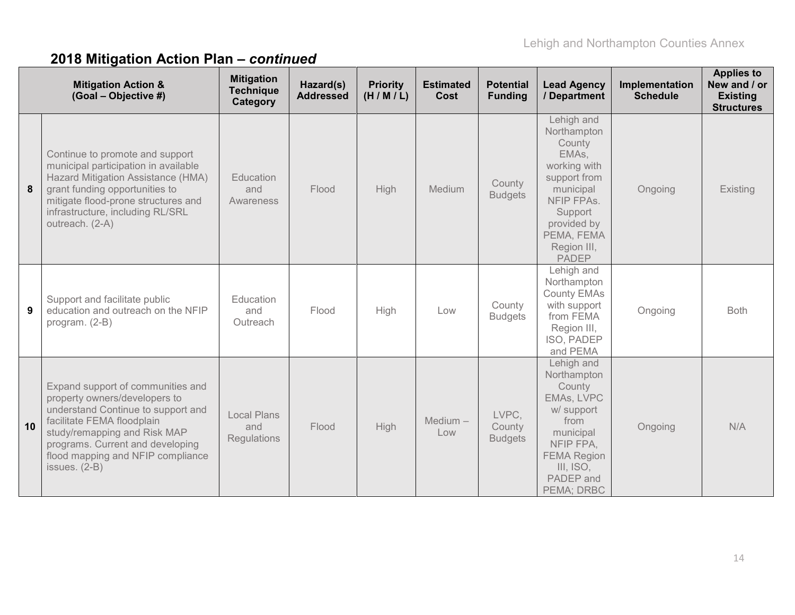|    | <b>Mitigation Action &amp;</b><br>(Goal - Objective #)                                                                                                                                                                                                           | <b>Mitigation</b><br><b>Technique</b><br>Category | Hazard(s)<br><b>Addressed</b> | <b>Priority</b><br>(H/M/L) | <b>Estimated</b><br>Cost | <b>Potential</b><br><b>Funding</b> | <b>Lead Agency</b><br>/ Department                                                                                                                                             | Implementation<br><b>Schedule</b> | <b>Applies to</b><br>New and / or<br><b>Existing</b><br><b>Structures</b> |
|----|------------------------------------------------------------------------------------------------------------------------------------------------------------------------------------------------------------------------------------------------------------------|---------------------------------------------------|-------------------------------|----------------------------|--------------------------|------------------------------------|--------------------------------------------------------------------------------------------------------------------------------------------------------------------------------|-----------------------------------|---------------------------------------------------------------------------|
| 8  | Continue to promote and support<br>municipal participation in available<br>Hazard Mitigation Assistance (HMA)<br>grant funding opportunities to<br>mitigate flood-prone structures and<br>infrastructure, including RL/SRL<br>outreach. (2-A)                    | Education<br>and<br>Awareness                     | Flood                         | High                       | Medium                   | County<br><b>Budgets</b>           | Lehigh and<br>Northampton<br>County<br>EMAs,<br>working with<br>support from<br>municipal<br>NFIP FPAs.<br>Support<br>provided by<br>PEMA, FEMA<br>Region III,<br><b>PADEP</b> | Ongoing                           | Existing                                                                  |
| 9  | Support and facilitate public<br>education and outreach on the NFIP<br>program. (2-B)                                                                                                                                                                            | Education<br>and<br>Outreach                      | Flood                         | High                       | Low                      | County<br><b>Budgets</b>           | Lehigh and<br>Northampton<br><b>County EMAs</b><br>with support<br>from FEMA<br>Region III,<br>ISO, PADEP<br>and PEMA                                                          | Ongoing                           | <b>Both</b>                                                               |
| 10 | Expand support of communities and<br>property owners/developers to<br>understand Continue to support and<br>facilitate FEMA floodplain<br>study/remapping and Risk MAP<br>programs. Current and developing<br>flood mapping and NFIP compliance<br>issues. (2-B) | <b>Local Plans</b><br>and<br><b>Regulations</b>   | Flood                         | High                       | $Medium -$<br>Low        | LVPC.<br>County<br><b>Budgets</b>  | Lehigh and<br>Northampton<br>County<br>EMAs, LVPC<br>w/ support<br>from<br>municipal<br>NFIP FPA,<br><b>FEMA Region</b><br>III, ISO,<br>PADEP and<br>PEMA; DRBC                | Ongoing                           | N/A                                                                       |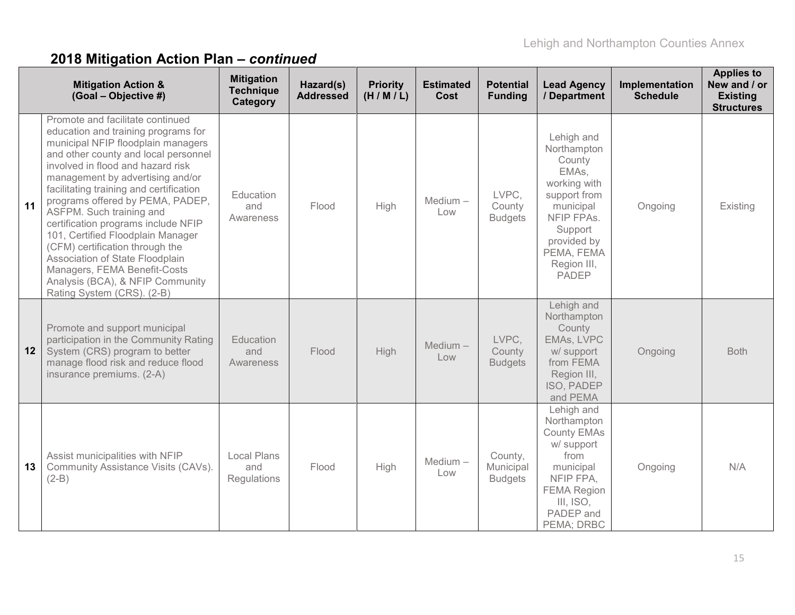|    | <b>Mitigation Action &amp;</b><br>(Goal - Objective #)                                                                                                                                                                                                                                                                                                                                                                                                                                                                                                                                        | <b>Mitigation</b><br><b>Technique</b><br>Category | Hazard(s)<br><b>Addressed</b> | <b>Priority</b><br>(H/M/L) | <b>Estimated</b><br>Cost | <b>Potential</b><br><b>Funding</b>     | <b>Lead Agency</b><br>/ Department                                                                                                                                             | Implementation<br><b>Schedule</b> | <b>Applies to</b><br>New and / or<br><b>Existing</b><br><b>Structures</b> |
|----|-----------------------------------------------------------------------------------------------------------------------------------------------------------------------------------------------------------------------------------------------------------------------------------------------------------------------------------------------------------------------------------------------------------------------------------------------------------------------------------------------------------------------------------------------------------------------------------------------|---------------------------------------------------|-------------------------------|----------------------------|--------------------------|----------------------------------------|--------------------------------------------------------------------------------------------------------------------------------------------------------------------------------|-----------------------------------|---------------------------------------------------------------------------|
| 11 | Promote and facilitate continued<br>education and training programs for<br>municipal NFIP floodplain managers<br>and other county and local personnel<br>involved in flood and hazard risk<br>management by advertising and/or<br>facilitating training and certification<br>programs offered by PEMA, PADEP,<br>ASFPM. Such training and<br>certification programs include NFIP<br>101, Certified Floodplain Manager<br>(CFM) certification through the<br>Association of State Floodplain<br>Managers, FEMA Benefit-Costs<br>Analysis (BCA), & NFIP Community<br>Rating System (CRS). (2-B) | Education<br>and<br>Awareness                     | Flood                         | High                       | Medium-<br>Low           | LVPC,<br>County<br><b>Budgets</b>      | Lehigh and<br>Northampton<br>County<br>EMAs,<br>working with<br>support from<br>municipal<br>NFIP FPAs.<br>Support<br>provided by<br>PEMA, FEMA<br>Region III,<br><b>PADEP</b> | Ongoing                           | Existing                                                                  |
| 12 | Promote and support municipal<br>participation in the Community Rating<br>System (CRS) program to better<br>manage flood risk and reduce flood<br>insurance premiums. (2-A)                                                                                                                                                                                                                                                                                                                                                                                                                   | Education<br>and<br>Awareness                     | Flood                         | High                       | $Median -$<br>Low        | LVPC,<br>County<br><b>Budgets</b>      | Lehigh and<br>Northampton<br>County<br>EMAs, LVPC<br>w/ support<br>from FEMA<br>Region III,<br>ISO, PADEP<br>and PEMA                                                          | Ongoing                           | <b>Both</b>                                                               |
| 13 | Assist municipalities with NFIP<br>Community Assistance Visits (CAVs).<br>$(2-B)$                                                                                                                                                                                                                                                                                                                                                                                                                                                                                                             | Local Plans<br>and<br><b>Regulations</b>          | Flood                         | High                       | Medium-<br>Low           | County,<br>Municipal<br><b>Budgets</b> | Lehigh and<br>Northampton<br><b>County EMAs</b><br>w/ support<br>from<br>municipal<br>NFIP FPA.<br><b>FEMA Region</b><br>III, ISO,<br>PADEP and<br>PEMA; DRBC                  | Ongoing                           | N/A                                                                       |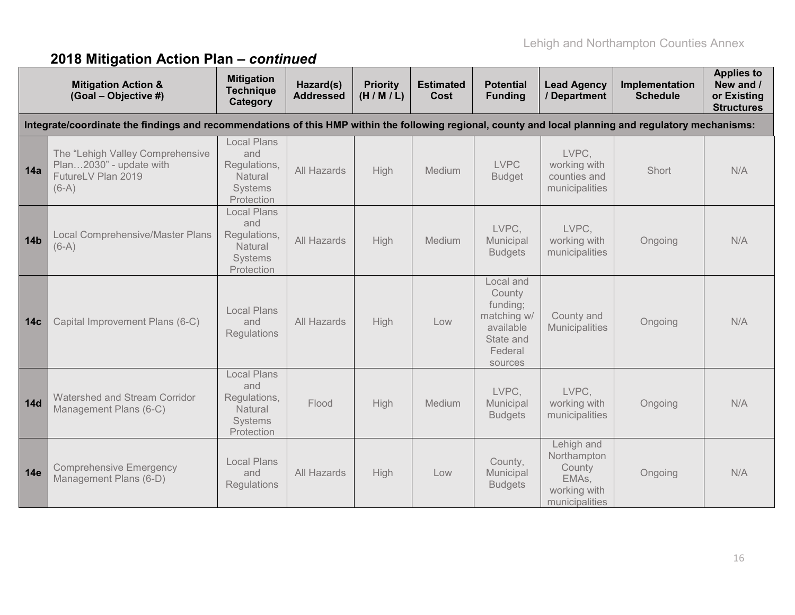|                 | <b>Mitigation Action &amp;</b><br>(Goal - Objective #)                                                                                                | <b>Mitigation</b><br><b>Technique</b><br>Category                             | Hazard(s)<br><b>Addressed</b> | <b>Priority</b><br>(H/M/L) | <b>Estimated</b><br>Cost | <b>Potential</b><br><b>Funding</b>                                                             | <b>Lead Agency</b><br>/ Department                                             | Implementation<br><b>Schedule</b> | <b>Applies to</b><br>New and /<br>or Existing<br><b>Structures</b> |
|-----------------|-------------------------------------------------------------------------------------------------------------------------------------------------------|-------------------------------------------------------------------------------|-------------------------------|----------------------------|--------------------------|------------------------------------------------------------------------------------------------|--------------------------------------------------------------------------------|-----------------------------------|--------------------------------------------------------------------|
|                 | Integrate/coordinate the findings and recommendations of this HMP within the following regional, county and local planning and regulatory mechanisms: |                                                                               |                               |                            |                          |                                                                                                |                                                                                |                                   |                                                                    |
| 14a             | The "Lehigh Valley Comprehensive<br>Plan2030" - update with<br>FutureLV Plan 2019<br>$(6-A)$                                                          | <b>Local Plans</b><br>and<br>Regulations,<br>Natural<br>Systems<br>Protection | All Hazards                   | High                       | Medium                   | <b>LVPC</b><br><b>Budget</b>                                                                   | LVPC,<br>working with<br>counties and<br>municipalities                        | Short                             | N/A                                                                |
| <b>14b</b>      | <b>Local Comprehensive/Master Plans</b><br>$(6-A)$                                                                                                    | <b>Local Plans</b><br>and<br>Regulations,<br>Natural<br>Systems<br>Protection | All Hazards                   | High                       | Medium                   | LVPC.<br>Municipal<br><b>Budgets</b>                                                           | LVPC.<br>working with<br>municipalities                                        | Ongoing                           | N/A                                                                |
| 14 <sub>c</sub> | Capital Improvement Plans (6-C)                                                                                                                       | <b>Local Plans</b><br>and<br>Regulations                                      | All Hazards                   | High                       | Low                      | Local and<br>County<br>funding;<br>matching w/<br>available<br>State and<br>Federal<br>sources | County and<br><b>Municipalities</b>                                            | Ongoing                           | N/A                                                                |
| <b>14d</b>      | Watershed and Stream Corridor<br>Management Plans (6-C)                                                                                               | <b>Local Plans</b><br>and<br>Regulations,<br>Natural<br>Systems<br>Protection | Flood                         | High                       | Medium                   | LVPC.<br>Municipal<br><b>Budgets</b>                                                           | LVPC.<br>working with<br>municipalities                                        | Ongoing                           | N/A                                                                |
| <b>14e</b>      | <b>Comprehensive Emergency</b><br>Management Plans (6-D)                                                                                              | <b>Local Plans</b><br>and<br>Regulations                                      | All Hazards                   | High                       | Low                      | County,<br>Municipal<br><b>Budgets</b>                                                         | Lehigh and<br>Northampton<br>County<br>EMAs,<br>working with<br>municipalities | Ongoing                           | N/A                                                                |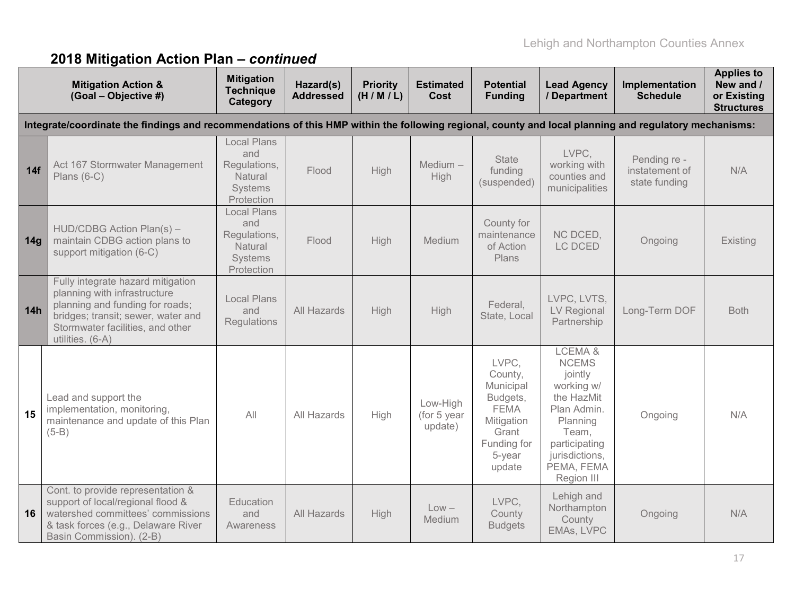|     | <b>Mitigation Action &amp;</b><br>(Goal - Objective #)                                                                                                                                             | <b>Mitigation</b><br><b>Technique</b><br>Category                                    | Hazard(s)<br><b>Addressed</b> | <b>Priority</b><br>(H/M/L) | <b>Estimated</b><br><b>Cost</b>    | <b>Potential</b><br><b>Funding</b>                                                                                 | <b>Lead Agency</b><br>/ Department                                                                                                                               | Implementation<br><b>Schedule</b>               | <b>Applies to</b><br>New and /<br>or Existing<br><b>Structures</b> |
|-----|----------------------------------------------------------------------------------------------------------------------------------------------------------------------------------------------------|--------------------------------------------------------------------------------------|-------------------------------|----------------------------|------------------------------------|--------------------------------------------------------------------------------------------------------------------|------------------------------------------------------------------------------------------------------------------------------------------------------------------|-------------------------------------------------|--------------------------------------------------------------------|
|     | Integrate/coordinate the findings and recommendations of this HMP within the following regional, county and local planning and regulatory mechanisms:                                              |                                                                                      |                               |                            |                                    |                                                                                                                    |                                                                                                                                                                  |                                                 |                                                                    |
| 14f | Act 167 Stormwater Management<br>Plans $(6-C)$                                                                                                                                                     | <b>Local Plans</b><br>and<br>Regulations,<br>Natural<br><b>Systems</b><br>Protection | Flood                         | High                       | Medium $-$<br>High                 | <b>State</b><br>funding<br>(suspended)                                                                             | LVPC.<br>working with<br>counties and<br>municipalities                                                                                                          | Pending re -<br>instatement of<br>state funding | N/A                                                                |
| 14g | HUD/CDBG Action Plan(s) -<br>maintain CDBG action plans to<br>support mitigation (6-C)                                                                                                             | <b>Local Plans</b><br>and<br>Regulations,<br>Natural<br>Systems<br>Protection        | Flood                         | High                       | Medium                             | County for<br>maintenance<br>of Action<br>Plans                                                                    | NC DCED,<br>LC DCED                                                                                                                                              | Ongoing                                         | Existing                                                           |
| 14h | Fully integrate hazard mitigation<br>planning with infrastructure<br>planning and funding for roads;<br>bridges; transit; sewer, water and<br>Stormwater facilities, and other<br>utilities. (6-A) | <b>Local Plans</b><br>and<br>Regulations                                             | All Hazards                   | High                       | High                               | Federal,<br>State, Local                                                                                           | LVPC, LVTS,<br>LV Regional<br>Partnership                                                                                                                        | Long-Term DOF                                   | <b>Both</b>                                                        |
| 15  | Lead and support the<br>implementation, monitoring,<br>maintenance and update of this Plan<br>$(5-B)$                                                                                              | All                                                                                  | All Hazards                   | High                       | Low-High<br>(for 5 year<br>update) | LVPC,<br>County,<br>Municipal<br>Budgets,<br><b>FEMA</b><br>Mitigation<br>Grant<br>Funding for<br>5-year<br>update | LCEMA&<br><b>NCEMS</b><br>jointly<br>working w/<br>the HazMit<br>Plan Admin.<br>Planning<br>Team,<br>participating<br>jurisdictions,<br>PEMA, FEMA<br>Region III | Ongoing                                         | N/A                                                                |
| 16  | Cont. to provide representation &<br>support of local/regional flood &<br>watershed committees' commissions<br>& task forces (e.g., Delaware River<br>Basin Commission). (2-B)                     | Education<br>and<br>Awareness                                                        | All Hazards                   | High                       | $Low -$<br>Medium                  | LVPC.<br>County<br><b>Budgets</b>                                                                                  | Lehigh and<br>Northampton<br>County<br>EMAs, LVPC                                                                                                                | Ongoing                                         | N/A                                                                |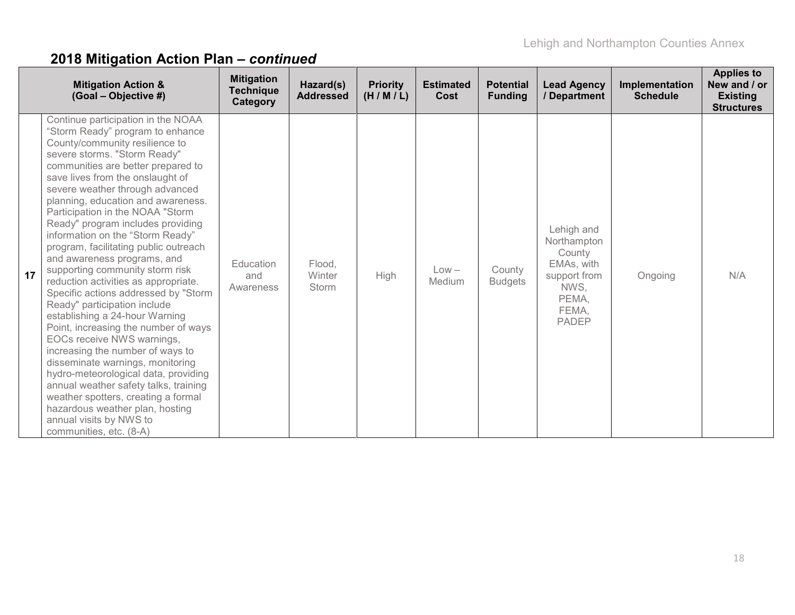|    | <b>Mitigation Action &amp;</b><br>(Goal - Objective #)                                                                                                                                                                                                                                                                                                                                                                                                                                                                                                                                                                                                                                                                                                                                                                                                                                                                                                                                                                               | <b>Mitigation</b><br><b>Technique</b><br>Category | Hazard(s)<br><b>Addressed</b>    | <b>Priority</b><br>(H/M/L) | <b>Estimated</b><br>Cost | <b>Potential</b><br><b>Funding</b> | <b>Lead Agency</b><br>/ Department                                                                          | Implementation<br><b>Schedule</b> | <b>Applies to</b><br>New and / or<br><b>Existing</b><br><b>Structures</b> |
|----|--------------------------------------------------------------------------------------------------------------------------------------------------------------------------------------------------------------------------------------------------------------------------------------------------------------------------------------------------------------------------------------------------------------------------------------------------------------------------------------------------------------------------------------------------------------------------------------------------------------------------------------------------------------------------------------------------------------------------------------------------------------------------------------------------------------------------------------------------------------------------------------------------------------------------------------------------------------------------------------------------------------------------------------|---------------------------------------------------|----------------------------------|----------------------------|--------------------------|------------------------------------|-------------------------------------------------------------------------------------------------------------|-----------------------------------|---------------------------------------------------------------------------|
| 17 | Continue participation in the NOAA<br>"Storm Ready" program to enhance<br>County/community resilience to<br>severe storms. "Storm Ready"<br>communities are better prepared to<br>save lives from the onslaught of<br>severe weather through advanced<br>planning, education and awareness.<br>Participation in the NOAA "Storm<br>Ready" program includes providing<br>information on the "Storm Ready"<br>program, facilitating public outreach<br>and awareness programs, and<br>supporting community storm risk<br>reduction activities as appropriate.<br>Specific actions addressed by "Storm<br>Ready" participation include<br>establishing a 24-hour Warning<br>Point, increasing the number of ways<br>EOCs receive NWS warnings,<br>increasing the number of ways to<br>disseminate warnings, monitoring<br>hydro-meteorological data, providing<br>annual weather safety talks, training<br>weather spotters, creating a formal<br>hazardous weather plan, hosting<br>annual visits by NWS to<br>communities, etc. (8-A) | Education<br>and<br>Awareness                     | Flood,<br>Winter<br><b>Storm</b> | <b>High</b>                | $Low -$<br>Medium        | County<br><b>Budgets</b>           | Lehigh and<br>Northampton<br>County<br>EMAs, with<br>support from<br>NWS.<br>PEMA,<br>FEMA,<br><b>PADEP</b> | Ongoing                           | N/A                                                                       |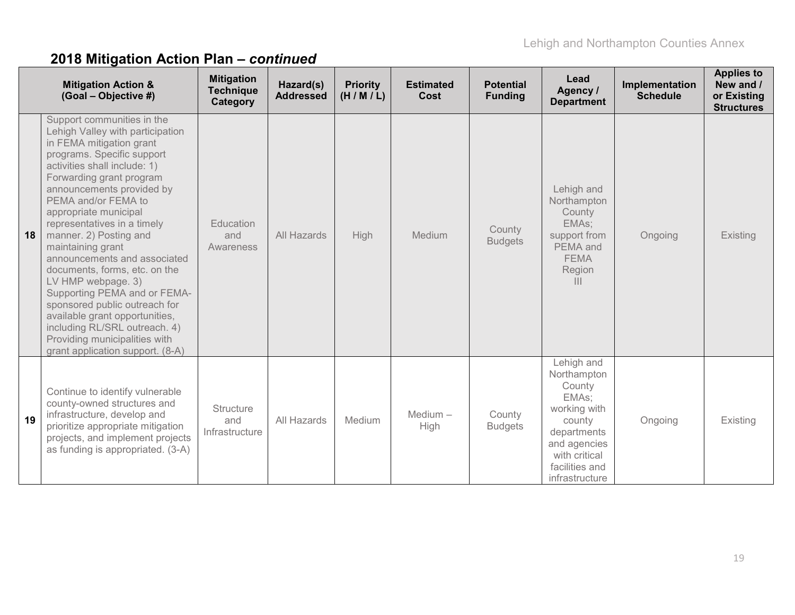|    | <b>Mitigation Action &amp;</b><br>(Goal - Objective #)                                                                                                                                                                                                                                                                                                                                                                                                                                                                                                                                                                                          | <b>Mitigation</b><br><b>Technique</b><br>Category | Hazard(s)<br><b>Addressed</b> | <b>Priority</b><br>(H/M/L) | <b>Estimated</b><br>Cost | <b>Potential</b><br><b>Funding</b> | Lead<br>Agency /<br><b>Department</b>                                                                                                                      | Implementation<br><b>Schedule</b> | <b>Applies to</b><br>New and /<br>or Existing<br><b>Structures</b> |
|----|-------------------------------------------------------------------------------------------------------------------------------------------------------------------------------------------------------------------------------------------------------------------------------------------------------------------------------------------------------------------------------------------------------------------------------------------------------------------------------------------------------------------------------------------------------------------------------------------------------------------------------------------------|---------------------------------------------------|-------------------------------|----------------------------|--------------------------|------------------------------------|------------------------------------------------------------------------------------------------------------------------------------------------------------|-----------------------------------|--------------------------------------------------------------------|
| 18 | Support communities in the<br>Lehigh Valley with participation<br>in FEMA mitigation grant<br>programs. Specific support<br>activities shall include: 1)<br>Forwarding grant program<br>announcements provided by<br>PEMA and/or FEMA to<br>appropriate municipal<br>representatives in a timely<br>manner. 2) Posting and<br>maintaining grant<br>announcements and associated<br>documents, forms, etc. on the<br>LV HMP webpage. 3)<br>Supporting PEMA and or FEMA-<br>sponsored public outreach for<br>available grant opportunities,<br>including RL/SRL outreach. 4)<br>Providing municipalities with<br>grant application support. (8-A) | Education<br>and<br><b>Awareness</b>              | All Hazards                   | <b>High</b>                | Medium                   | County<br><b>Budgets</b>           | Lehigh and<br>Northampton<br>County<br>EMAs:<br>support from<br>PEMA and<br><b>FEMA</b><br>Region<br>$\mathbf{III}$                                        | Ongoing                           | Existing                                                           |
| 19 | Continue to identify vulnerable<br>county-owned structures and<br>infrastructure, develop and<br>prioritize appropriate mitigation<br>projects, and implement projects<br>as funding is appropriated. (3-A)                                                                                                                                                                                                                                                                                                                                                                                                                                     | <b>Structure</b><br>and<br>Infrastructure         | All Hazards                   | <b>Medium</b>              | $Median -$<br>High       | County<br><b>Budgets</b>           | Lehigh and<br>Northampton<br>County<br>EMAs:<br>working with<br>county<br>departments<br>and agencies<br>with critical<br>facilities and<br>infrastructure | Ongoing                           | Existing                                                           |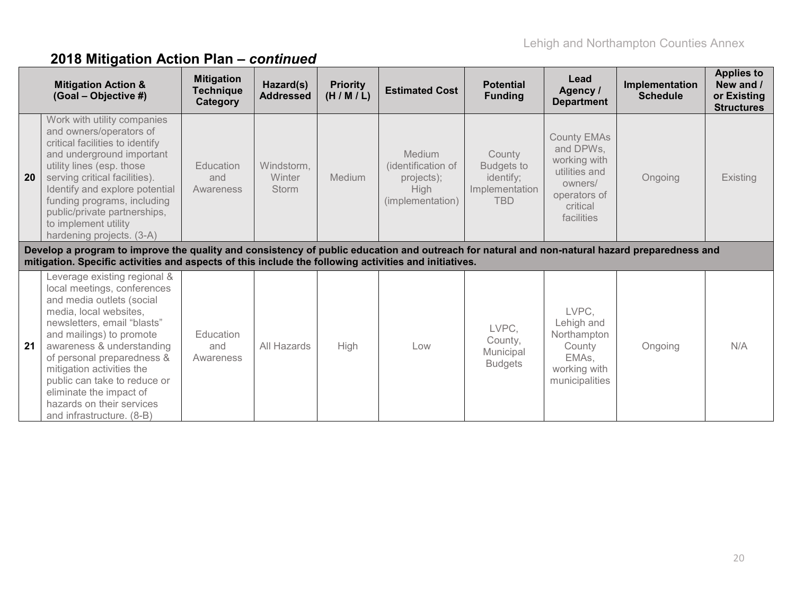|    | <b>Mitigation Action &amp;</b><br>(Goal - Objective #)                                                                                                                                                                                                                                                                                                                                     | <b>Mitigation</b><br><b>Technique</b><br>Category | Hazard(s)<br><b>Addressed</b>        | <b>Priority</b><br>(H/M/L) | <b>Estimated Cost</b>                                                         | <b>Potential</b><br><b>Funding</b>                                       | Lead<br>Agency /<br><b>Department</b>                                                                                 | Implementation<br><b>Schedule</b> | <b>Applies to</b><br>New and /<br>or Existing<br><b>Structures</b> |
|----|--------------------------------------------------------------------------------------------------------------------------------------------------------------------------------------------------------------------------------------------------------------------------------------------------------------------------------------------------------------------------------------------|---------------------------------------------------|--------------------------------------|----------------------------|-------------------------------------------------------------------------------|--------------------------------------------------------------------------|-----------------------------------------------------------------------------------------------------------------------|-----------------------------------|--------------------------------------------------------------------|
| 20 | Work with utility companies<br>and owners/operators of<br>critical facilities to identify<br>and underground important<br>utility lines (esp. those<br>serving critical facilities).<br>Identify and explore potential<br>funding programs, including<br>public/private partnerships,<br>to implement utility<br>hardening projects. (3-A)                                                 | Education<br>and<br>Awareness                     | Windstorm,<br>Winter<br><b>Storm</b> | Medium                     | Medium<br>(identification of<br>projects);<br><b>High</b><br>(implementation) | County<br><b>Budgets to</b><br>identify;<br>Implementation<br><b>TBD</b> | <b>County EMAs</b><br>and DPWs,<br>working with<br>utilities and<br>owners/<br>operators of<br>critical<br>facilities | Ongoing                           | Existing                                                           |
|    | Develop a program to improve the quality and consistency of public education and outreach for natural and non-natural hazard preparedness and<br>mitigation. Specific activities and aspects of this include the following activities and initiatives.                                                                                                                                     |                                                   |                                      |                            |                                                                               |                                                                          |                                                                                                                       |                                   |                                                                    |
| 21 | Leverage existing regional &<br>local meetings, conferences<br>and media outlets (social<br>media, local websites,<br>newsletters, email "blasts"<br>and mailings) to promote<br>awareness & understanding<br>of personal preparedness &<br>mitigation activities the<br>public can take to reduce or<br>eliminate the impact of<br>hazards on their services<br>and infrastructure. (8-B) | Education<br>and<br>Awareness                     | All Hazards                          | High                       | Low                                                                           | LVPC,<br>County,<br>Municipal<br><b>Budgets</b>                          | LVPC,<br>Lehigh and<br>Northampton<br>County<br>EMAs,<br>working with<br>municipalities                               | Ongoing                           | N/A                                                                |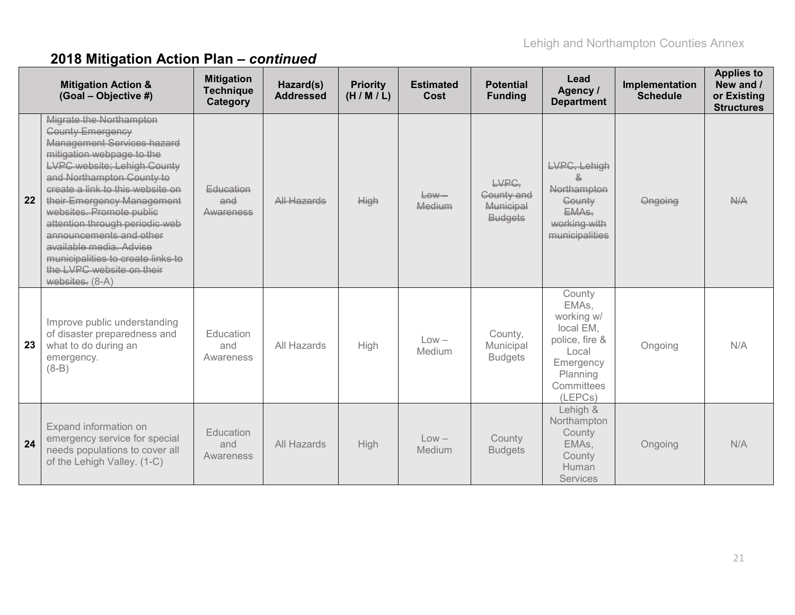|    | <b>Mitigation Action &amp;</b><br>(Goal - Objective #)                                                                                                                                                                                                                                                                                                                                                                                                      | <b>Mitigation</b><br><b>Technique</b><br>Category | Hazard(s)<br><b>Addressed</b> | <b>Priority</b><br>(H/M/L) | <b>Estimated</b><br>Cost | <b>Potential</b><br><b>Funding</b>                        | Lead<br>Agency /<br><b>Department</b>                                                                                   | Implementation<br><b>Schedule</b> | <b>Applies to</b><br>New and /<br>or Existing<br><b>Structures</b> |
|----|-------------------------------------------------------------------------------------------------------------------------------------------------------------------------------------------------------------------------------------------------------------------------------------------------------------------------------------------------------------------------------------------------------------------------------------------------------------|---------------------------------------------------|-------------------------------|----------------------------|--------------------------|-----------------------------------------------------------|-------------------------------------------------------------------------------------------------------------------------|-----------------------------------|--------------------------------------------------------------------|
| 22 | Migrate the Northampton<br><b>County Emergency</b><br><b>Management Services hazard</b><br>mitigation webpage to the<br>LVPC website: Lehigh County<br>and Northampton County to<br>create a link to this website on<br>their Emergency Management<br>websites. Promote publie<br>attention through periodic web<br>announcements and other<br>available media. Advise<br>municipalities to create links to<br>the LVPC website on their<br>websites. (8-A) | Education<br>and<br>Awareness                     | All Hazards                   | <b>High</b>                | $-$<br>Medium            | LVPC.<br>Gounty and<br><b>Municipal</b><br><b>Budgets</b> | LVPC, Lehigh<br><b>Northampton</b><br>County<br>EMA <sub>s</sub><br>working with<br>municipalities                      | Ongoing                           | N/A                                                                |
| 23 | Improve public understanding<br>of disaster preparedness and<br>what to do during an<br>emergency.<br>$(8-B)$                                                                                                                                                                                                                                                                                                                                               | Education<br>and<br>Awareness                     | All Hazards                   | High                       | $Low -$<br>Medium        | County,<br>Municipal<br><b>Budgets</b>                    | County<br>EMAs,<br>working w/<br>local EM,<br>police, fire &<br>Local<br>Emergency<br>Planning<br>Committees<br>(LEPCs) | Ongoing                           | N/A                                                                |
| 24 | Expand information on<br>emergency service for special<br>needs populations to cover all<br>of the Lehigh Valley. (1-C)                                                                                                                                                                                                                                                                                                                                     | Education<br>and<br>Awareness                     | All Hazards                   | High                       | $Low -$<br>Medium        | County<br><b>Budgets</b>                                  | Lehigh &<br>Northampton<br>County<br>EMAs,<br>County<br>Human<br><b>Services</b>                                        | Ongoing                           | N/A                                                                |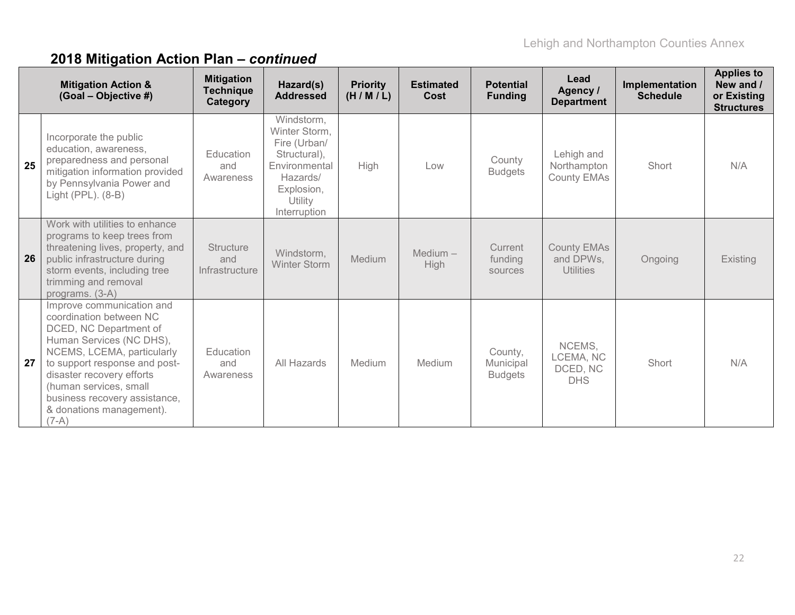|    | <b>Mitigation Action &amp;</b><br>(Goal - Objective #)                                                                                                                                                                                                                                                   | <b>Mitigation</b><br><b>Technique</b><br>Category | Hazard(s)<br><b>Addressed</b>                                                                                                     | <b>Priority</b><br>(H/M/L) | <b>Estimated</b><br>Cost | <b>Potential</b><br><b>Funding</b>     | Lead<br>Agency /<br><b>Department</b>               | Implementation<br><b>Schedule</b> | <b>Applies to</b><br>New and /<br>or Existing<br><b>Structures</b> |
|----|----------------------------------------------------------------------------------------------------------------------------------------------------------------------------------------------------------------------------------------------------------------------------------------------------------|---------------------------------------------------|-----------------------------------------------------------------------------------------------------------------------------------|----------------------------|--------------------------|----------------------------------------|-----------------------------------------------------|-----------------------------------|--------------------------------------------------------------------|
| 25 | Incorporate the public<br>education, awareness,<br>preparedness and personal<br>mitigation information provided<br>by Pennsylvania Power and<br>Light (PPL). (8-B)                                                                                                                                       | Education<br>and<br>Awareness                     | Windstorm,<br>Winter Storm,<br>Fire (Urban/<br>Structural),<br>Environmental<br>Hazards/<br>Explosion,<br>Utility<br>Interruption | High                       | Low                      | County<br><b>Budgets</b>               | Lehigh and<br>Northampton<br>County EMAs            | Short                             | N/A                                                                |
| 26 | Work with utilities to enhance<br>programs to keep trees from<br>threatening lives, property, and<br>public infrastructure during<br>storm events, including tree<br>trimming and removal<br>programs. (3-A)                                                                                             | <b>Structure</b><br>and<br>Infrastructure         | Windstorm,<br><b>Winter Storm</b>                                                                                                 | <b>Medium</b>              | $Median -$<br>High       | Current<br>funding<br>sources          | <b>County EMAs</b><br>and DPWs,<br><b>Utilities</b> | Ongoing                           | <b>Existing</b>                                                    |
| 27 | Improve communication and<br>coordination between NC<br>DCED, NC Department of<br>Human Services (NC DHS),<br>NCEMS, LCEMA, particularly<br>to support response and post-<br>disaster recovery efforts<br>(human services, small<br>business recovery assistance,<br>& donations management).<br>$(7-A)$ | Education<br>and<br>Awareness                     | All Hazards                                                                                                                       | Medium                     | Medium                   | County,<br>Municipal<br><b>Budgets</b> | NCEMS,<br>LCEMA, NC<br>DCED, NC<br><b>DHS</b>       | Short                             | N/A                                                                |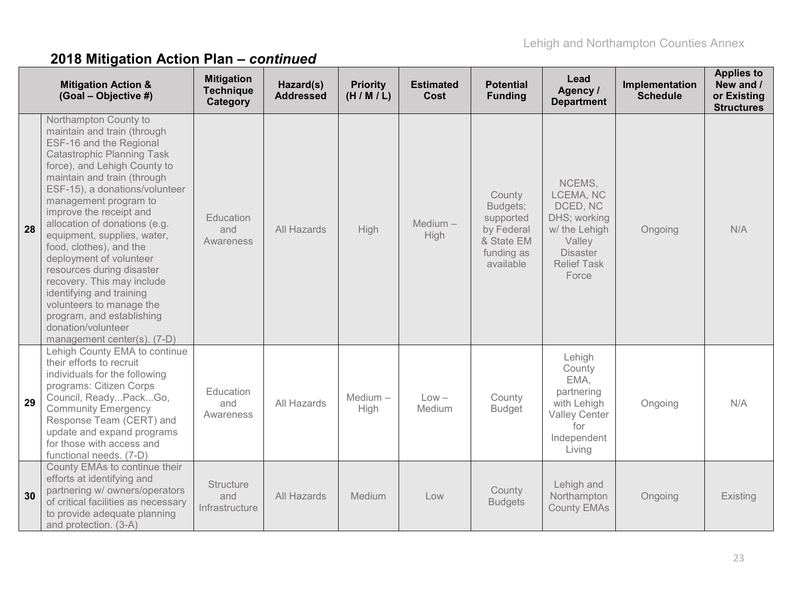|    | <b>Mitigation Action &amp;</b><br>(Goal - Objective #)                                                                                                                                                                                                                                                                                                                                                                                                                                                                                                                                               | <b>Mitigation</b><br><b>Technique</b><br>Category | Hazard(s)<br><b>Addressed</b> | <b>Priority</b><br>(H/M/L) | <b>Estimated</b><br>Cost | <b>Potential</b><br><b>Funding</b>                                                     | Lead<br>Agency /<br><b>Department</b>                                                                                        | Implementation<br><b>Schedule</b> | <b>Applies to</b><br>New and /<br>or Existing<br><b>Structures</b> |
|----|------------------------------------------------------------------------------------------------------------------------------------------------------------------------------------------------------------------------------------------------------------------------------------------------------------------------------------------------------------------------------------------------------------------------------------------------------------------------------------------------------------------------------------------------------------------------------------------------------|---------------------------------------------------|-------------------------------|----------------------------|--------------------------|----------------------------------------------------------------------------------------|------------------------------------------------------------------------------------------------------------------------------|-----------------------------------|--------------------------------------------------------------------|
| 28 | Northampton County to<br>maintain and train (through<br>ESF-16 and the Regional<br><b>Catastrophic Planning Task</b><br>force), and Lehigh County to<br>maintain and train (through<br>ESF-15), a donations/volunteer<br>management program to<br>improve the receipt and<br>allocation of donations (e.g.<br>equipment, supplies, water,<br>food, clothes), and the<br>deployment of volunteer<br>resources during disaster<br>recovery. This may include<br>identifying and training<br>volunteers to manage the<br>program, and establishing<br>donation/volunteer<br>management center(s). (7-D) | Education<br>and<br>Awareness                     | All Hazards                   | <b>High</b>                | $Median -$<br>High       | County<br>Budgets;<br>supported<br>by Federal<br>& State EM<br>funding as<br>available | NCEMS,<br>LCEMA, NC<br>DCED, NC<br>DHS; working<br>w/ the Lehigh<br>Valley<br><b>Disaster</b><br><b>Relief Task</b><br>Force | Ongoing                           | N/A                                                                |
| 29 | Lehigh County EMA to continue<br>their efforts to recruit<br>individuals for the following<br>programs: Citizen Corps<br>Council, ReadyPackGo,<br><b>Community Emergency</b><br>Response Team (CERT) and<br>update and expand programs<br>for those with access and<br>functional needs. (7-D)                                                                                                                                                                                                                                                                                                       | Education<br>and<br>Awareness                     | All Hazards                   | $Median -$<br>High         | $Low -$<br>Medium        | County<br><b>Budget</b>                                                                | Lehigh<br>County<br>EMA,<br>partnering<br>with Lehigh<br><b>Valley Center</b><br>for<br>Independent<br>Living                | Ongoing                           | N/A                                                                |
| 30 | County EMAs to continue their<br>efforts at identifying and<br>partnering w/ owners/operators<br>of critical facilities as necessary<br>to provide adequate planning<br>and protection. (3-A)                                                                                                                                                                                                                                                                                                                                                                                                        | <b>Structure</b><br>and<br>Infrastructure         | All Hazards                   | Medium                     | Low                      | County<br><b>Budgets</b>                                                               | Lehigh and<br>Northampton<br><b>County EMAs</b>                                                                              | Ongoing                           | Existing                                                           |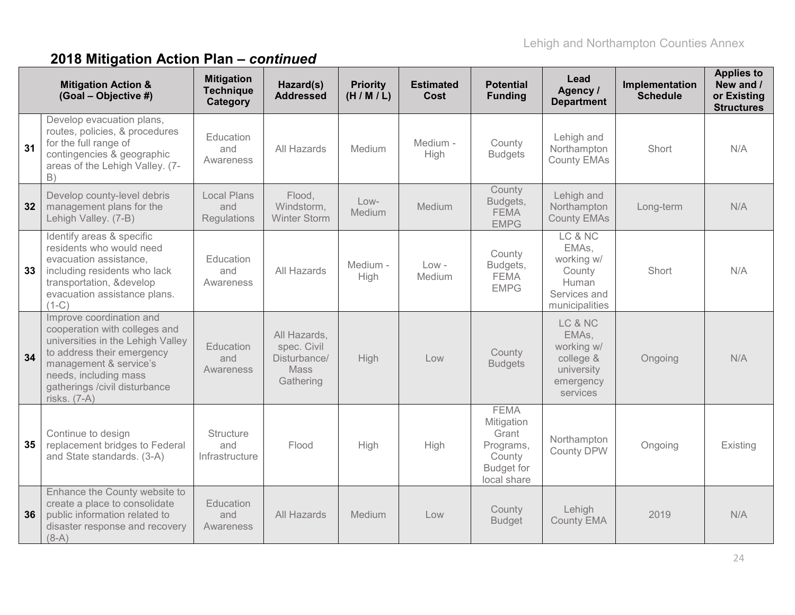| <b>Mitigation Action &amp;</b><br>(Goal - Objective #) |                                                                                                                                                                                                                                  | <b>Mitigation</b><br><b>Technique</b><br>Category | Hazard(s)<br><b>Addressed</b>                                    | <b>Priority</b><br>(H/M/L) | <b>Estimated</b><br>Cost | <b>Potential</b><br><b>Funding</b>                                                            | Lead<br>Agency /<br><b>Department</b>                                               | Implementation<br><b>Schedule</b> | <b>Applies to</b><br>New and /<br>or Existing<br><b>Structures</b> |
|--------------------------------------------------------|----------------------------------------------------------------------------------------------------------------------------------------------------------------------------------------------------------------------------------|---------------------------------------------------|------------------------------------------------------------------|----------------------------|--------------------------|-----------------------------------------------------------------------------------------------|-------------------------------------------------------------------------------------|-----------------------------------|--------------------------------------------------------------------|
| 31                                                     | Develop evacuation plans,<br>routes, policies, & procedures<br>for the full range of<br>contingencies & geographic<br>areas of the Lehigh Valley. (7-<br>B)                                                                      | Education<br>and<br>Awareness                     | All Hazards                                                      | Medium                     | Medium -<br>High         | County<br><b>Budgets</b>                                                                      | Lehigh and<br>Northampton<br><b>County EMAs</b>                                     | Short                             | N/A                                                                |
| 32                                                     | Develop county-level debris<br>management plans for the<br>Lehigh Valley. (7-B)                                                                                                                                                  | <b>Local Plans</b><br>and<br>Regulations          | Flood,<br>Windstorm,<br><b>Winter Storm</b>                      | Low-<br><b>Medium</b>      | Medium                   | County<br>Budgets,<br><b>FEMA</b><br><b>EMPG</b>                                              | Lehigh and<br>Northampton<br><b>County EMAs</b>                                     | Long-term                         | N/A                                                                |
| 33                                                     | Identify areas & specific<br>residents who would need<br>evacuation assistance.<br>including residents who lack<br>transportation, &develop<br>evacuation assistance plans.<br>$(1-C)$                                           | Education<br>and<br>Awareness                     | All Hazards                                                      | Medium -<br>High           | $Low -$<br>Medium        | County<br>Budgets,<br><b>FEMA</b><br><b>EMPG</b>                                              | LC & NC<br>EMAs,<br>working w/<br>County<br>Human<br>Services and<br>municipalities | Short                             | N/A                                                                |
| 34                                                     | Improve coordination and<br>cooperation with colleges and<br>universities in the Lehigh Valley<br>to address their emergency<br>management & service's<br>needs, including mass<br>gatherings /civil disturbance<br>risks. (7-A) | Education<br>and<br>Awareness                     | All Hazards,<br>spec. Civil<br>Disturbance/<br>Mass<br>Gathering | <b>High</b>                | Low                      | County<br><b>Budgets</b>                                                                      | LC & NC<br>EMAs,<br>working w/<br>college &<br>university<br>emergency<br>services  | Ongoing                           | N/A                                                                |
| 35                                                     | Continue to design<br>replacement bridges to Federal<br>and State standards. (3-A)                                                                                                                                               | Structure<br>and<br>Infrastructure                | Flood                                                            | High                       | High                     | <b>FEMA</b><br>Mitigation<br>Grant<br>Programs,<br>County<br><b>Budget for</b><br>local share | Northampton<br>County DPW                                                           | Ongoing                           | Existing                                                           |
| 36                                                     | Enhance the County website to<br>create a place to consolidate<br>public information related to<br>disaster response and recovery<br>$(8-A)$                                                                                     | Education<br>and<br>Awareness                     | All Hazards                                                      | Medium                     | Low                      | County<br><b>Budget</b>                                                                       | Lehigh<br><b>County EMA</b>                                                         | 2019                              | N/A                                                                |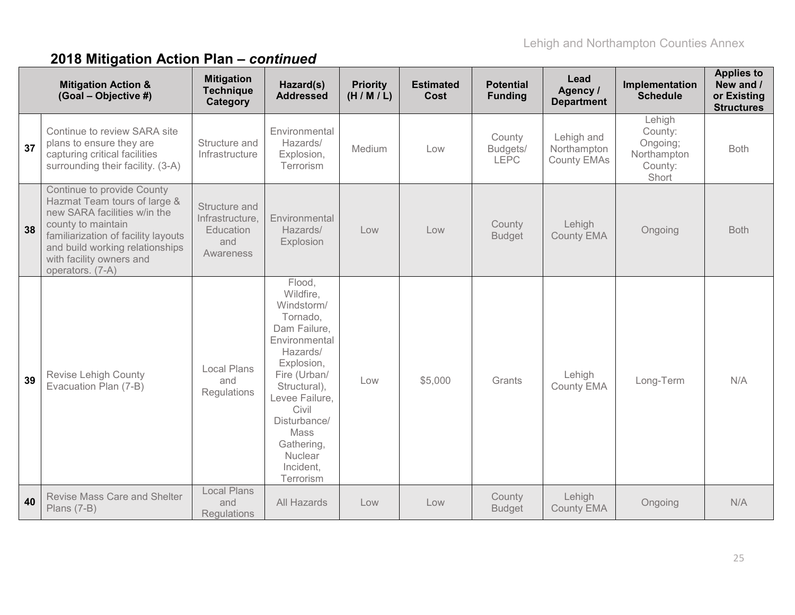|    | <b>Mitigation Action &amp;</b><br>(Goal - Objective #)                                                                                                                                                                                     | <b>Mitigation</b><br><b>Technique</b><br>Category                        | Hazard(s)<br><b>Addressed</b>                                                                                                                                                                                                                  | <b>Priority</b><br>(H/M/L) | <b>Estimated</b><br>Cost | <b>Potential</b><br><b>Funding</b> | Lead<br>Agency /<br><b>Department</b>           | Implementation<br><b>Schedule</b>                                | <b>Applies to</b><br>New and /<br>or Existing<br><b>Structures</b> |
|----|--------------------------------------------------------------------------------------------------------------------------------------------------------------------------------------------------------------------------------------------|--------------------------------------------------------------------------|------------------------------------------------------------------------------------------------------------------------------------------------------------------------------------------------------------------------------------------------|----------------------------|--------------------------|------------------------------------|-------------------------------------------------|------------------------------------------------------------------|--------------------------------------------------------------------|
| 37 | Continue to review SARA site<br>plans to ensure they are<br>capturing critical facilities<br>surrounding their facility. (3-A)                                                                                                             | Structure and<br>Infrastructure                                          | Environmental<br>Hazards/<br>Explosion,<br>Terrorism                                                                                                                                                                                           | Medium                     | Low                      | County<br>Budgets/<br><b>LEPC</b>  | Lehigh and<br>Northampton<br><b>County EMAs</b> | Lehigh<br>County:<br>Ongoing;<br>Northampton<br>County:<br>Short | <b>Both</b>                                                        |
| 38 | Continue to provide County<br>Hazmat Team tours of large &<br>new SARA facilities w/in the<br>county to maintain<br>familiarization of facility layouts<br>and build working relationships<br>with facility owners and<br>operators. (7-A) | Structure and<br>Infrastructure,<br><b>Education</b><br>and<br>Awareness | Environmental<br>Hazards/<br>Explosion                                                                                                                                                                                                         | Low                        | Low                      | County<br><b>Budget</b>            | Lehigh<br><b>County EMA</b>                     | Ongoing                                                          | <b>Both</b>                                                        |
| 39 | <b>Revise Lehigh County</b><br>Evacuation Plan (7-B)                                                                                                                                                                                       | <b>Local Plans</b><br>and<br>Regulations                                 | Flood,<br>Wildfire,<br>Windstorm/<br>Tornado,<br>Dam Failure,<br>Environmental<br>Hazards/<br>Explosion,<br>Fire (Urban/<br>Structural),<br>Levee Failure,<br>Civil<br>Disturbance/<br>Mass<br>Gathering,<br>Nuclear<br>Incident,<br>Terrorism | Low                        | \$5,000                  | Grants                             | Lehigh<br>County EMA                            | Long-Term                                                        | N/A                                                                |
| 40 | Revise Mass Care and Shelter<br>Plans (7-B)                                                                                                                                                                                                | <b>Local Plans</b><br>and<br><b>Regulations</b>                          | All Hazards                                                                                                                                                                                                                                    | Low                        | Low                      | County<br><b>Budget</b>            | Lehigh<br><b>County EMA</b>                     | Ongoing                                                          | N/A                                                                |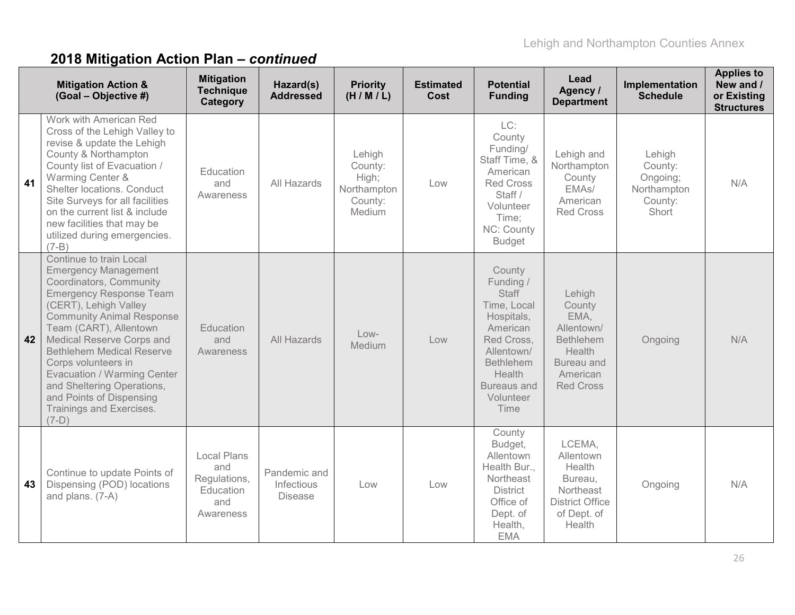|    | <b>Mitigation Action &amp;</b><br>(Goal - Objective #)                                                                                                                                                                                                                                                                                                                                                                             | <b>Mitigation</b><br><b>Technique</b><br>Category                          | Hazard(s)<br><b>Addressed</b>                | <b>Priority</b><br>(H/M/L)                                     | <b>Estimated</b><br>Cost | <b>Potential</b><br><b>Funding</b>                                                                                                                                                | Lead<br>Agency /<br><b>Department</b>                                                                              | Implementation<br><b>Schedule</b>                                | <b>Applies to</b><br>New and /<br>or Existing<br><b>Structures</b> |
|----|------------------------------------------------------------------------------------------------------------------------------------------------------------------------------------------------------------------------------------------------------------------------------------------------------------------------------------------------------------------------------------------------------------------------------------|----------------------------------------------------------------------------|----------------------------------------------|----------------------------------------------------------------|--------------------------|-----------------------------------------------------------------------------------------------------------------------------------------------------------------------------------|--------------------------------------------------------------------------------------------------------------------|------------------------------------------------------------------|--------------------------------------------------------------------|
| 41 | Work with American Red<br>Cross of the Lehigh Valley to<br>revise & update the Lehigh<br>County & Northampton<br>County list of Evacuation /<br>Warming Center &<br>Shelter locations. Conduct<br>Site Surveys for all facilities<br>on the current list & include<br>new facilities that may be<br>utilized during emergencies.<br>$(7-B)$                                                                                        | Education<br>and<br>Awareness                                              | All Hazards                                  | Lehigh<br>County:<br>High;<br>Northampton<br>County:<br>Medium | Low                      | LC:<br>County<br>Funding/<br>Staff Time, &<br>American<br><b>Red Cross</b><br>Staff /<br>Volunteer<br>Time:<br>NC: County<br><b>Budget</b>                                        | Lehigh and<br>Northampton<br>County<br>EMAs/<br>American<br><b>Red Cross</b>                                       | Lehigh<br>County:<br>Ongoing;<br>Northampton<br>County:<br>Short | N/A                                                                |
| 42 | Continue to train Local<br><b>Emergency Management</b><br>Coordinators, Community<br><b>Emergency Response Team</b><br>(CERT), Lehigh Valley<br><b>Community Animal Response</b><br>Team (CART), Allentown<br>Medical Reserve Corps and<br><b>Bethlehem Medical Reserve</b><br>Corps volunteers in<br>Evacuation / Warming Center<br>and Sheltering Operations,<br>and Points of Dispensing<br>Trainings and Exercises.<br>$(7-D)$ | Education<br>and<br>Awareness                                              | All Hazards                                  | $Low-$<br>Medium                                               | Low                      | County<br>Funding /<br><b>Staff</b><br>Time, Local<br>Hospitals,<br>American<br>Red Cross,<br>Allentown/<br><b>Bethlehem</b><br>Health<br><b>Bureaus and</b><br>Volunteer<br>Time | Lehigh<br>County<br>EMA,<br>Allentown/<br><b>Bethlehem</b><br>Health<br>Bureau and<br>American<br><b>Red Cross</b> | Ongoing                                                          | N/A                                                                |
| 43 | Continue to update Points of<br>Dispensing (POD) locations<br>and plans. (7-A)                                                                                                                                                                                                                                                                                                                                                     | <b>Local Plans</b><br>and<br>Regulations,<br>Education<br>and<br>Awareness | Pandemic and<br>Infectious<br><b>Disease</b> | Low                                                            | Low                      | County<br>Budget,<br>Allentown<br>Health Bur.,<br>Northeast<br><b>District</b><br>Office of<br>Dept. of<br>Health,<br><b>EMA</b>                                                  | LCEMA,<br>Allentown<br>Health<br>Bureau,<br>Northeast<br><b>District Office</b><br>of Dept. of<br>Health           | Ongoing                                                          | N/A                                                                |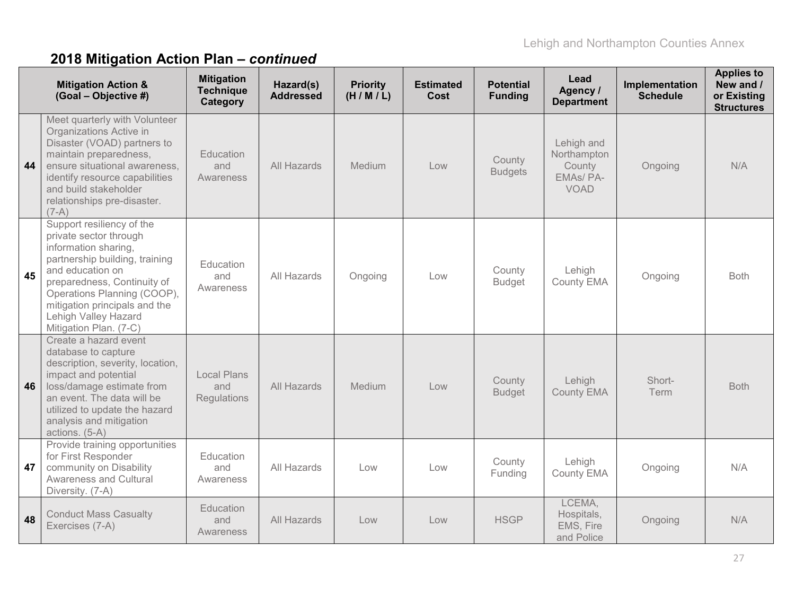|    | <b>Mitigation Action &amp;</b><br>(Goal - Objective #)                                                                                                                                                                                                                             | <b>Mitigation</b><br><b>Technique</b><br>Category | Hazard(s)<br><b>Addressed</b> | <b>Priority</b><br>(H/M/L) | <b>Estimated</b><br>Cost | <b>Potential</b><br><b>Funding</b> | Lead<br>Agency /<br><b>Department</b>                          | Implementation<br><b>Schedule</b> | <b>Applies to</b><br>New and /<br>or Existing<br><b>Structures</b> |
|----|------------------------------------------------------------------------------------------------------------------------------------------------------------------------------------------------------------------------------------------------------------------------------------|---------------------------------------------------|-------------------------------|----------------------------|--------------------------|------------------------------------|----------------------------------------------------------------|-----------------------------------|--------------------------------------------------------------------|
| 44 | Meet quarterly with Volunteer<br>Organizations Active in<br>Disaster (VOAD) partners to<br>maintain preparedness,<br>ensure situational awareness,<br>identify resource capabilities<br>and build stakeholder<br>relationships pre-disaster.<br>$(7-A)$                            | Education<br>and<br>Awareness                     | All Hazards                   | Medium                     | Low                      | County<br><b>Budgets</b>           | Lehigh and<br>Northampton<br>County<br>EMAs/PA-<br><b>VOAD</b> | Ongoing                           | N/A                                                                |
| 45 | Support resiliency of the<br>private sector through<br>information sharing,<br>partnership building, training<br>and education on<br>preparedness, Continuity of<br>Operations Planning (COOP),<br>mitigation principals and the<br>Lehigh Valley Hazard<br>Mitigation Plan. (7-C) | Education<br>and<br>Awareness                     | All Hazards                   | Ongoing                    | Low                      | County<br><b>Budget</b>            | Lehigh<br>County EMA                                           | Ongoing                           | <b>Both</b>                                                        |
| 46 | Create a hazard event<br>database to capture<br>description, severity, location,<br>impact and potential<br>loss/damage estimate from<br>an event. The data will be<br>utilized to update the hazard<br>analysis and mitigation<br>actions. (5-A)                                  | <b>Local Plans</b><br>and<br><b>Regulations</b>   | All Hazards                   | Medium                     | Low                      | County<br><b>Budget</b>            | Lehigh<br><b>County EMA</b>                                    | Short-<br>Term                    | <b>Both</b>                                                        |
| 47 | Provide training opportunities<br>for First Responder<br>community on Disability<br><b>Awareness and Cultural</b><br>Diversity. (7-A)                                                                                                                                              | Education<br>and<br>Awareness                     | All Hazards                   | Low                        | Low                      | County<br>Funding                  | Lehigh<br>County EMA                                           | Ongoing                           | N/A                                                                |
| 48 | <b>Conduct Mass Casualty</b><br>Exercises (7-A)                                                                                                                                                                                                                                    | Education<br>and<br>Awareness                     | All Hazards                   | Low                        | Low                      | <b>HSGP</b>                        | LCEMA.<br>Hospitals,<br>EMS, Fire<br>and Police                | Ongoing                           | N/A                                                                |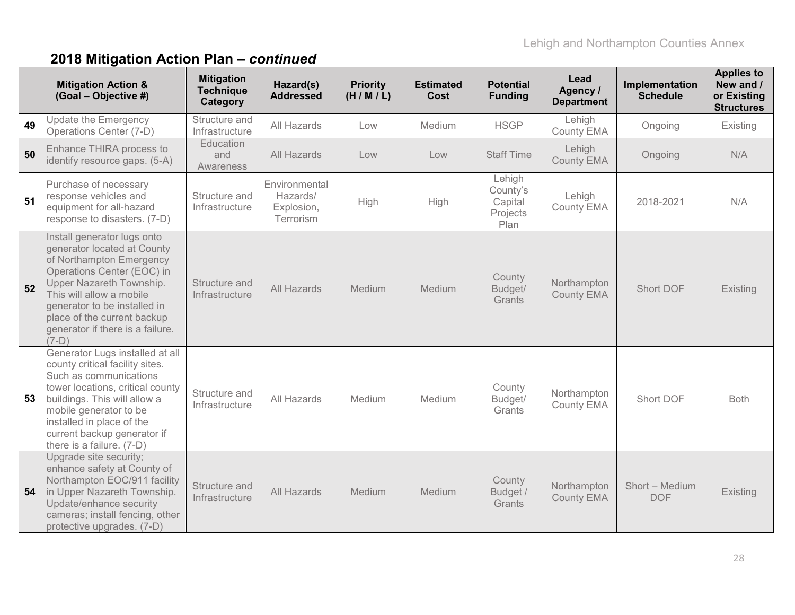|    | <b>Mitigation Action &amp;</b><br>(Goal - Objective #)                                                                                                                                                                                                                                     | <b>Mitigation</b><br><b>Technique</b><br>Category | Hazard(s)<br><b>Addressed</b>                        | <b>Priority</b><br>(H/M/L) | <b>Estimated</b><br>Cost | <b>Potential</b><br><b>Funding</b>                | Lead<br>Agency /<br><b>Department</b> | Implementation<br><b>Schedule</b> | <b>Applies to</b><br>New and /<br>or Existing<br><b>Structures</b> |
|----|--------------------------------------------------------------------------------------------------------------------------------------------------------------------------------------------------------------------------------------------------------------------------------------------|---------------------------------------------------|------------------------------------------------------|----------------------------|--------------------------|---------------------------------------------------|---------------------------------------|-----------------------------------|--------------------------------------------------------------------|
| 49 | <b>Update the Emergency</b><br>Operations Center (7-D)                                                                                                                                                                                                                                     | Structure and<br>Infrastructure                   | All Hazards                                          | Low                        | Medium                   | <b>HSGP</b>                                       | Lehigh<br>County EMA                  | Ongoing                           | Existing                                                           |
| 50 | Enhance THIRA process to<br>identify resource gaps. (5-A)                                                                                                                                                                                                                                  | Education<br>and<br>Awareness                     | All Hazards                                          | Low                        | Low                      | <b>Staff Time</b>                                 | Lehigh<br><b>County EMA</b>           | Ongoing                           | N/A                                                                |
| 51 | Purchase of necessary<br>response vehicles and<br>equipment for all-hazard<br>response to disasters. (7-D)                                                                                                                                                                                 | Structure and<br>Infrastructure                   | Environmental<br>Hazards/<br>Explosion,<br>Terrorism | High                       | High                     | Lehigh<br>County's<br>Capital<br>Projects<br>Plan | Lehigh<br>County EMA                  | 2018-2021                         | N/A                                                                |
| 52 | Install generator lugs onto<br>generator located at County<br>of Northampton Emergency<br>Operations Center (EOC) in<br>Upper Nazareth Township.<br>This will allow a mobile<br>generator to be installed in<br>place of the current backup<br>generator if there is a failure.<br>$(7-D)$ | Structure and<br>Infrastructure                   | All Hazards                                          | Medium                     | Medium                   | County<br>Budget/<br>Grants                       | Northampton<br><b>County EMA</b>      | Short DOF                         | Existing                                                           |
| 53 | Generator Lugs installed at all<br>county critical facility sites.<br>Such as communications<br>tower locations, critical county<br>buildings. This will allow a<br>mobile generator to be<br>installed in place of the<br>current backup generator if<br>there is a failure. (7-D)        | Structure and<br>Infrastructure                   | All Hazards                                          | Medium                     | Medium                   | County<br>Budget/<br>Grants                       | Northampton<br>County EMA             | Short DOF                         | <b>Both</b>                                                        |
| 54 | Upgrade site security;<br>enhance safety at County of<br>Northampton EOC/911 facility<br>in Upper Nazareth Township.<br>Update/enhance security<br>cameras; install fencing, other<br>protective upgrades. (7-D)                                                                           | Structure and<br>Infrastructure                   | All Hazards                                          | Medium                     | Medium                   | County<br>Budget /<br>Grants                      | Northampton<br><b>County EMA</b>      | Short - Medium<br><b>DOF</b>      | Existing                                                           |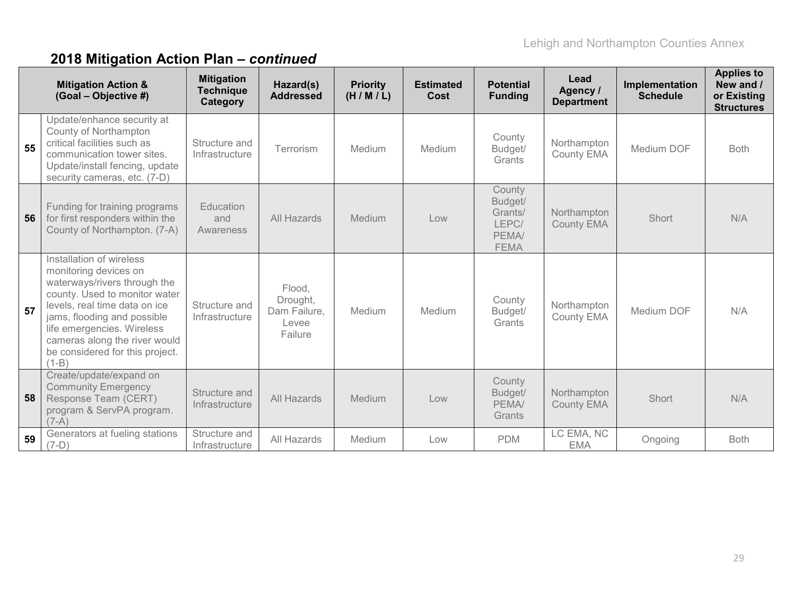|    | <b>Mitigation Action &amp;</b><br>(Goal - Objective #)                                                                                                                                                                                                                                          | <b>Mitigation</b><br><b>Technique</b><br>Category | Hazard(s)<br><b>Addressed</b>                          | <b>Priority</b><br>(H/M/L) | <b>Estimated</b><br>Cost | <b>Potential</b><br><b>Funding</b>                            | Lead<br>Agency /<br><b>Department</b> | Implementation<br><b>Schedule</b> | <b>Applies to</b><br>New and /<br>or Existing<br><b>Structures</b> |
|----|-------------------------------------------------------------------------------------------------------------------------------------------------------------------------------------------------------------------------------------------------------------------------------------------------|---------------------------------------------------|--------------------------------------------------------|----------------------------|--------------------------|---------------------------------------------------------------|---------------------------------------|-----------------------------------|--------------------------------------------------------------------|
| 55 | Update/enhance security at<br>County of Northampton<br>critical facilities such as<br>communication tower sites.<br>Update/install fencing, update<br>security cameras, etc. (7-D)                                                                                                              | Structure and<br>Infrastructure                   | Terrorism                                              | Medium                     | Medium                   | County<br>Budget/<br>Grants                                   | Northampton<br><b>County EMA</b>      | Medium DOF                        | <b>Both</b>                                                        |
| 56 | Funding for training programs<br>for first responders within the<br>County of Northampton. (7-A)                                                                                                                                                                                                | Education<br>and<br>Awareness                     | All Hazards                                            | Medium                     | Low                      | County<br>Budget/<br>Grants/<br>LEPC/<br>PEMA/<br><b>FEMA</b> | Northampton<br><b>County EMA</b>      | Short                             | N/A                                                                |
| 57 | Installation of wireless<br>monitoring devices on<br>waterways/rivers through the<br>county. Used to monitor water<br>levels, real time data on ice<br>jams, flooding and possible<br>life emergencies. Wireless<br>cameras along the river would<br>be considered for this project.<br>$(1-B)$ | Structure and<br>Infrastructure                   | Flood,<br>Drought,<br>Dam Failure,<br>Levee<br>Failure | Medium                     | Medium                   | County<br>Budget/<br>Grants                                   | Northampton<br><b>County EMA</b>      | Medium DOF                        | N/A                                                                |
| 58 | Create/update/expand on<br><b>Community Emergency</b><br>Response Team (CERT)<br>program & ServPA program.<br>$(7-A)$                                                                                                                                                                           | Structure and<br>Infrastructure                   | All Hazards                                            | Medium                     | Low                      | County<br>Budget/<br>PEMA/<br>Grants                          | Northampton<br><b>County EMA</b>      | Short                             | N/A                                                                |
| 59 | Generators at fueling stations<br>$(7-D)$                                                                                                                                                                                                                                                       | Structure and<br>Infrastructure                   | All Hazards                                            | Medium                     | Low                      | <b>PDM</b>                                                    | LC EMA, NC<br><b>EMA</b>              | Ongoing                           | <b>Both</b>                                                        |